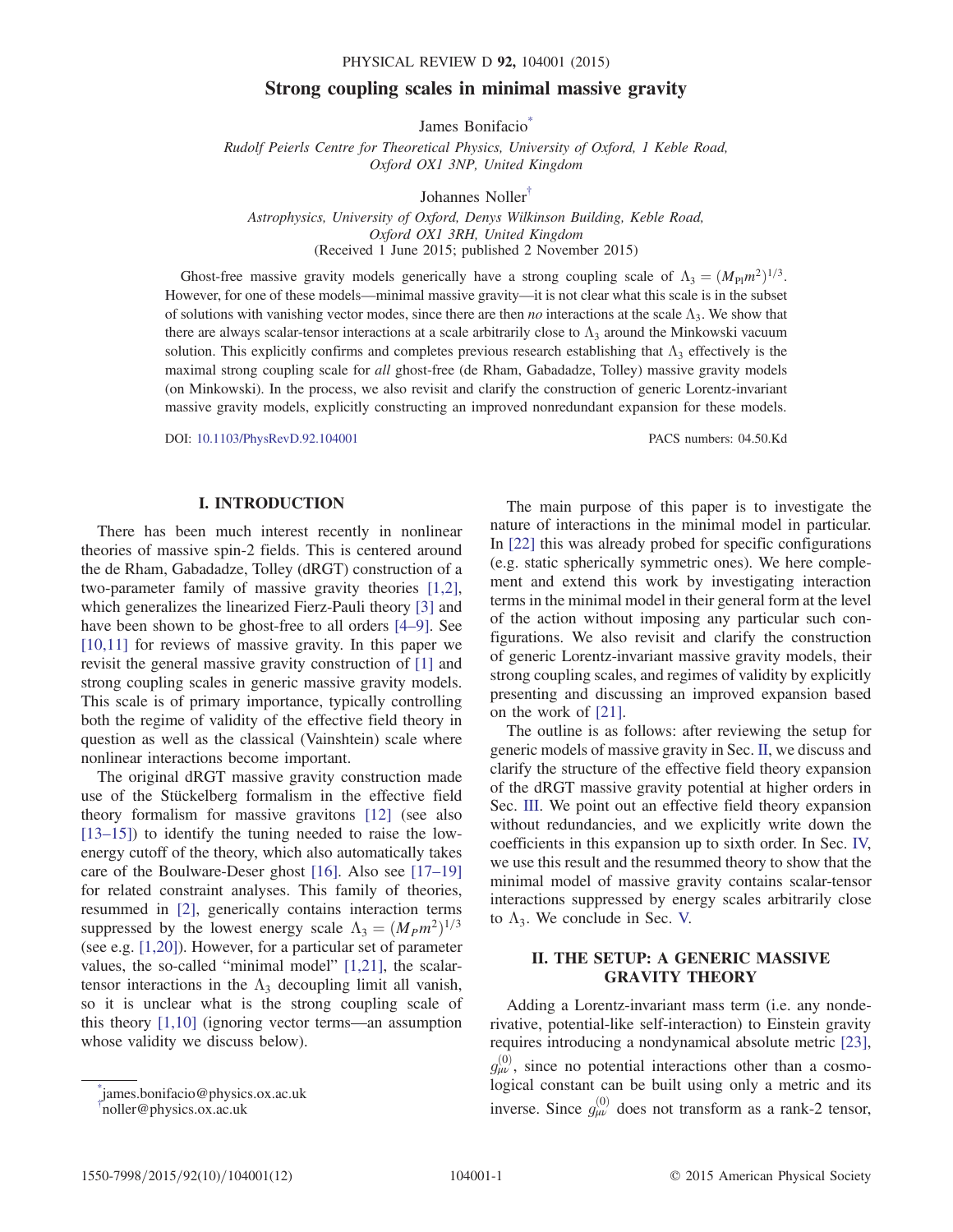# Strong coupling scales in minimal massive gravity

James Bonifacio<sup>\*</sup>

<span id="page-0-3"></span>Rudolf Peierls Centre for Theoretical Physics, University of Oxford, 1 Keble Road, Oxford OX1 3NP, United Kingdom

Johannes Noller[†](#page-0-1)

Astrophysics, University of Oxford, Denys Wilkinson Building, Keble Road, Oxford OX1 3RH, United Kingdom (Received 1 June 2015; published 2 November 2015)

<span id="page-0-4"></span>Ghost-free massive gravity models generically have a strong coupling scale of  $\Lambda_3 = (M_{\rm Pl}m^2)^{1/3}$ . However, for one of these models—minimal massive gravity—it is not clear what this scale is in the subset of solutions with vanishing vector modes, since there are then *no* interactions at the scale  $\Lambda_3$ . We show that there are always scalar-tensor interactions at a scale arbitrarily close to  $\Lambda_3$  around the Minkowski vacuum solution. This explicitly confirms and completes previous research establishing that  $\Lambda_3$  effectively is the maximal strong coupling scale for all ghost-free (de Rham, Gabadadze, Tolley) massive gravity models (on Minkowski). In the process, we also revisit and clarify the construction of generic Lorentz-invariant massive gravity models, explicitly constructing an improved nonredundant expansion for these models.

DOI: [10.1103/PhysRevD.92.104001](http://dx.doi.org/10.1103/PhysRevD.92.104001) PACS numbers: 04.50.Kd

## I. INTRODUCTION

There has been much interest recently in nonlinear theories of massive spin-2 fields. This is centered around the de Rham, Gabadadze, Tolley (dRGT) construction of a two-parameter family of massive gravity theories [\[1,2\]](#page-9-0), which generalizes the linearized Fierz-Pauli theory [\[3\]](#page-9-1) and have been shown to be ghost-free to all orders [4–[9\].](#page-9-2) See [\[10,11\]](#page-10-0) for reviews of massive gravity. In this paper we revisit the general massive gravity construction of [\[1\]](#page-9-0) and strong coupling scales in generic massive gravity models. This scale is of primary importance, typically controlling both the regime of validity of the effective field theory in question as well as the classical (Vainshtein) scale where nonlinear interactions become important.

The original dRGT massive gravity construction made use of the Stückelberg formalism in the effective field theory formalism for massive gravitons [\[12\]](#page-10-1) (see also [\[13](#page-10-2)–15]) to identify the tuning needed to raise the lowenergy cutoff of the theory, which also automatically takes care of the Boulware-Deser ghost [\[16\]](#page-10-3). Also see [\[17](#page-10-4)–19] for related constraint analyses. This family of theories, resummed in [\[2\],](#page-9-3) generically contains interaction terms suppressed by the lowest energy scale  $\Lambda_3 = (M_P m^2)^{1/3}$ (see e.g. [\[1,20\]](#page-9-0)). However, for a particular set of parameter values, the so-called "minimal model" [\[1,21\]](#page-9-0), the scalartensor interactions in the  $\Lambda_3$  decoupling limit all vanish, so it is unclear what is the strong coupling scale of this theory [\[1,10\]](#page-9-0) (ignoring vector terms—an assumption whose validity we discuss below).

The main purpose of this paper is to investigate the nature of interactions in the minimal model in particular. In [\[22\]](#page-10-5) this was already probed for specific configurations (e.g. static spherically symmetric ones). We here complement and extend this work by investigating interaction terms in the minimal model in their general form at the level of the action without imposing any particular such configurations. We also revisit and clarify the construction of generic Lorentz-invariant massive gravity models, their strong coupling scales, and regimes of validity by explicitly presenting and discussing an improved expansion based on the work of [\[21\].](#page-10-6)

The outline is as follows: after reviewing the setup for generic models of massive gravity in Sec. [II,](#page-0-2) we discuss and clarify the structure of the effective field theory expansion of the dRGT massive gravity potential at higher orders in Sec. [III.](#page-2-0) We point out an effective field theory expansion without redundancies, and we explicitly write down the coefficients in this expansion up to sixth order. In Sec. [IV,](#page-6-0) we use this result and the resummed theory to show that the minimal model of massive gravity contains scalar-tensor interactions suppressed by energy scales arbitrarily close to  $\Lambda_3$ . We conclude in Sec. [V.](#page-9-4)

# <span id="page-0-2"></span>II. THE SETUP: A GENERIC MASSIVE GRAVITY THEORY

Adding a Lorentz-invariant mass term (i.e. any nonderivative, potential-like self-interaction) to Einstein gravity requires introducing a nondynamical absolute metric [\[23\]](#page-10-7),  $g_{\mu\nu}^{(0)}$ , since no potential interactions other than a cosmological constant can be built using only a metric and its inverse. Since  $g_{\mu\nu}^{(0)}$  does not transform as a rank-2 tensor,

<span id="page-0-1"></span><span id="page-0-0"></span>[<sup>\\*</sup>](#page-0-3) james.bonifacio@physics.ox.ac.uk [†](#page-0-4) noller@physics.ox.ac.uk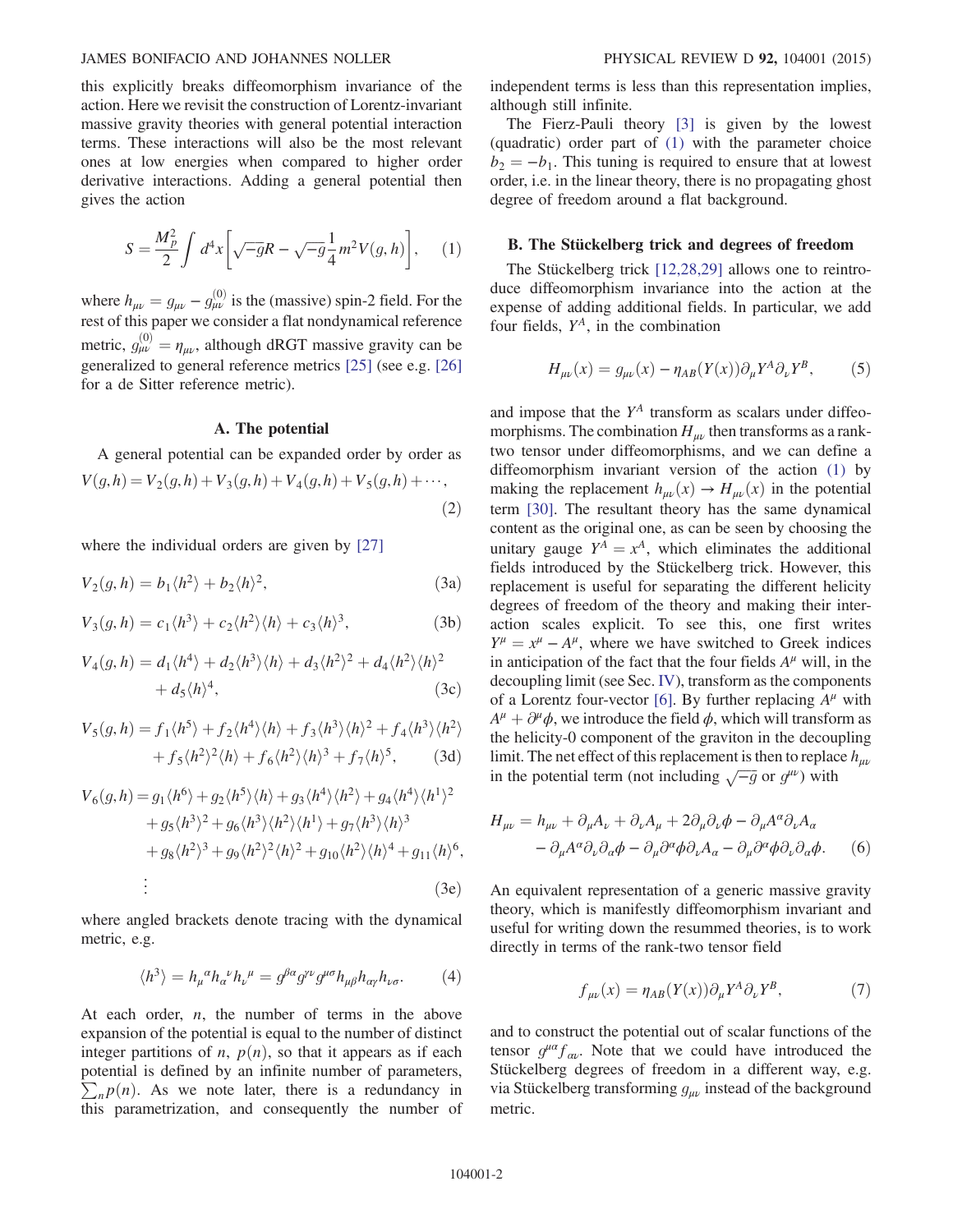## JAMES BONIFACIO AND JOHANNES NOLLER PHYSICAL REVIEW D 92, 104001 (2015)

this explicitly breaks diffeomorphism invariance of the action. Here we revisit the construction of Lorentz-invariant massive gravity theories with general potential interaction terms. These interactions will also be the most relevant ones at low energies when compared to higher order derivative interactions. Adding a general potential then gives the action

<span id="page-1-0"></span>
$$
S = \frac{M_p^2}{2} \int d^4x \left[ \sqrt{-g}R - \sqrt{-g} \frac{1}{4} m^2 V(g, h) \right], \quad (1)
$$

where  $h_{\mu\nu} = g_{\mu\nu} - g_{\mu\nu}^{(0)}$  is the (massive) spin-2 field. For the rest of this paper we consider a flat pondynamical reference rest of this paper we consider a flat nondynamical reference metric,  $g_{\mu\nu}^{(0)} = \eta_{\mu\nu}$ , although dRGT massive gravity can be generalized to general reference metrics [25] (see e.g. [26] generalized to general reference metrics [\[25\]](#page-10-8) (see e.g. [\[26\]](#page-10-9) for a de Sitter reference metric).

## A. The potential

A general potential can be expanded order by order as  $V(g,h) = V_2(g,h) + V_3(g,h) + V_4(g,h) + V_5(g,h) + \cdots$ ;

$$
(2)
$$

<span id="page-1-1"></span>where the individual orders are given by [\[27\]](#page-10-10)

$$
V_2(g, h) = b_1 \langle h^2 \rangle + b_2 \langle h \rangle^2, \tag{3a}
$$

$$
V_3(g, h) = c_1 \langle h^3 \rangle + c_2 \langle h^2 \rangle \langle h \rangle + c_3 \langle h \rangle^3, \tag{3b}
$$

$$
V_4(g, h) = d_1 \langle h^4 \rangle + d_2 \langle h^3 \rangle \langle h \rangle + d_3 \langle h^2 \rangle^2 + d_4 \langle h^2 \rangle \langle h \rangle^2
$$
  
+ 
$$
d_5 \langle h \rangle^4,
$$
 (3c)

$$
V_5(g, h) = f_1 \langle h^5 \rangle + f_2 \langle h^4 \rangle \langle h \rangle + f_3 \langle h^3 \rangle \langle h \rangle^2 + f_4 \langle h^3 \rangle \langle h^2 \rangle
$$

$$
+ f_5 \langle h^2 \rangle^2 \langle h \rangle + f_6 \langle h^2 \rangle \langle h \rangle^3 + f_7 \langle h \rangle^5, \qquad (3d)
$$

$$
V_6(g,h) = g_1 \langle h^6 \rangle + g_2 \langle h^5 \rangle \langle h \rangle + g_3 \langle h^4 \rangle \langle h^2 \rangle + g_4 \langle h^4 \rangle \langle h^1 \rangle^2
$$
  
+ 
$$
g_5 \langle h^3 \rangle^2 + g_6 \langle h^3 \rangle \langle h^2 \rangle \langle h^1 \rangle + g_7 \langle h^3 \rangle \langle h \rangle^3
$$
  
+ 
$$
g_8 \langle h^2 \rangle^3 + g_9 \langle h^2 \rangle^2 \langle h \rangle^2 + g_{10} \langle h^2 \rangle \langle h \rangle^4 + g_{11} \langle h \rangle^6,
$$
  
:\n(3e)

<span id="page-1-4"></span>where angled brackets denote tracing with the dynamical metric, e.g.

$$
\langle h^3 \rangle = h_{\mu}{}^{\alpha} h_{\alpha}{}^{\nu} h_{\nu}{}^{\mu} = g^{\beta \alpha} g^{\gamma \nu} g^{\mu \sigma} h_{\mu \beta} h_{\alpha \gamma} h_{\nu \sigma}.
$$
 (4)

At each order,  $n$ , the number of terms in the above expansion of the potential is equal to the number of distinct integer partitions of *n*,  $p(n)$ , so that it appears as if each potential is defined by an infinite number of parameters,  $\sum_{n} p(n)$ . As we note later, there is a redundancy in this parametrization, and consequently the number of independent terms is less than this representation implies, although still infinite.

The Fierz-Pauli theory [\[3\]](#page-9-1) is given by the lowest (quadratic) order part of [\(1\)](#page-1-0) with the parameter choice  $b_2 = -b_1$ . This tuning is required to ensure that at lowest order, i.e. in the linear theory, there is no propagating ghost degree of freedom around a flat background.

## <span id="page-1-3"></span>B. The Stückelberg trick and degrees of freedom

<span id="page-1-2"></span>The Stückelberg trick [\[12,28,29\]](#page-10-1) allows one to reintroduce diffeomorphism invariance into the action at the expense of adding additional fields. In particular, we add four fields,  $Y^A$ , in the combination

$$
H_{\mu\nu}(x) = g_{\mu\nu}(x) - \eta_{AB}(Y(x))\partial_{\mu}Y^{A}\partial_{\nu}Y^{B},\tag{5}
$$

and impose that the  $Y^A$  transform as scalars under diffeomorphisms. The combination  $H_{\mu\nu}$  then transforms as a ranktwo tensor under diffeomorphisms, and we can define a diffeomorphism invariant version of the action [\(1\)](#page-1-0) by making the replacement  $h_{\mu\nu}(x) \rightarrow H_{\mu\nu}(x)$  in the potential term [\[30\].](#page-10-11) The resultant theory has the same dynamical content as the original one, as can be seen by choosing the unitary gauge  $Y^A = x^A$ , which eliminates the additional fields introduced by the Stückelberg trick. However, this replacement is useful for separating the different helicity degrees of freedom of the theory and making their interaction scales explicit. To see this, one first writes  $Y^{\mu} = x^{\mu} - A^{\mu}$ , where we have switched to Greek indices in anticipation of the fact that the four fields  $A^{\mu}$  will, in the decoupling limit (see Sec. [IV](#page-6-0)), transform as the components of a Lorentz four-vector [\[6\]](#page-9-5). By further replacing  $A^{\mu}$  with  $A^{\mu} + \partial^{\mu} \phi$ , we introduce the field  $\phi$ , which will transform as the helicity-0 component of the graviton in the decoupling limit. The net effect of this replacement is then to replace  $h_{\mu\nu}$ in the potential term (not including  $\sqrt{-g}$  or  $g^{\mu\nu}$ ) with

$$
H_{\mu\nu} = h_{\mu\nu} + \partial_{\mu}A_{\nu} + \partial_{\nu}A_{\mu} + 2\partial_{\mu}\partial_{\nu}\phi - \partial_{\mu}A^{\alpha}\partial_{\nu}A_{\alpha}
$$

$$
- \partial_{\mu}A^{\alpha}\partial_{\nu}\partial_{\alpha}\phi - \partial_{\mu}\partial^{\alpha}\phi\partial_{\nu}A_{\alpha} - \partial_{\mu}\partial^{\alpha}\phi\partial_{\nu}\partial_{\alpha}\phi. \tag{6}
$$

An equivalent representation of a generic massive gravity theory, which is manifestly diffeomorphism invariant and useful for writing down the resummed theories, is to work directly in terms of the rank-two tensor field

$$
f_{\mu\nu}(x) = \eta_{AB}(Y(x))\partial_{\mu}Y^{A}\partial_{\nu}Y^{B},\tag{7}
$$

and to construct the potential out of scalar functions of the tensor  $g^{\mu\alpha}f_{\alpha\nu}$ . Note that we could have introduced the Stückelberg degrees of freedom in a different way, e.g. via Stückelberg transforming  $g_{\mu\nu}$  instead of the background metric.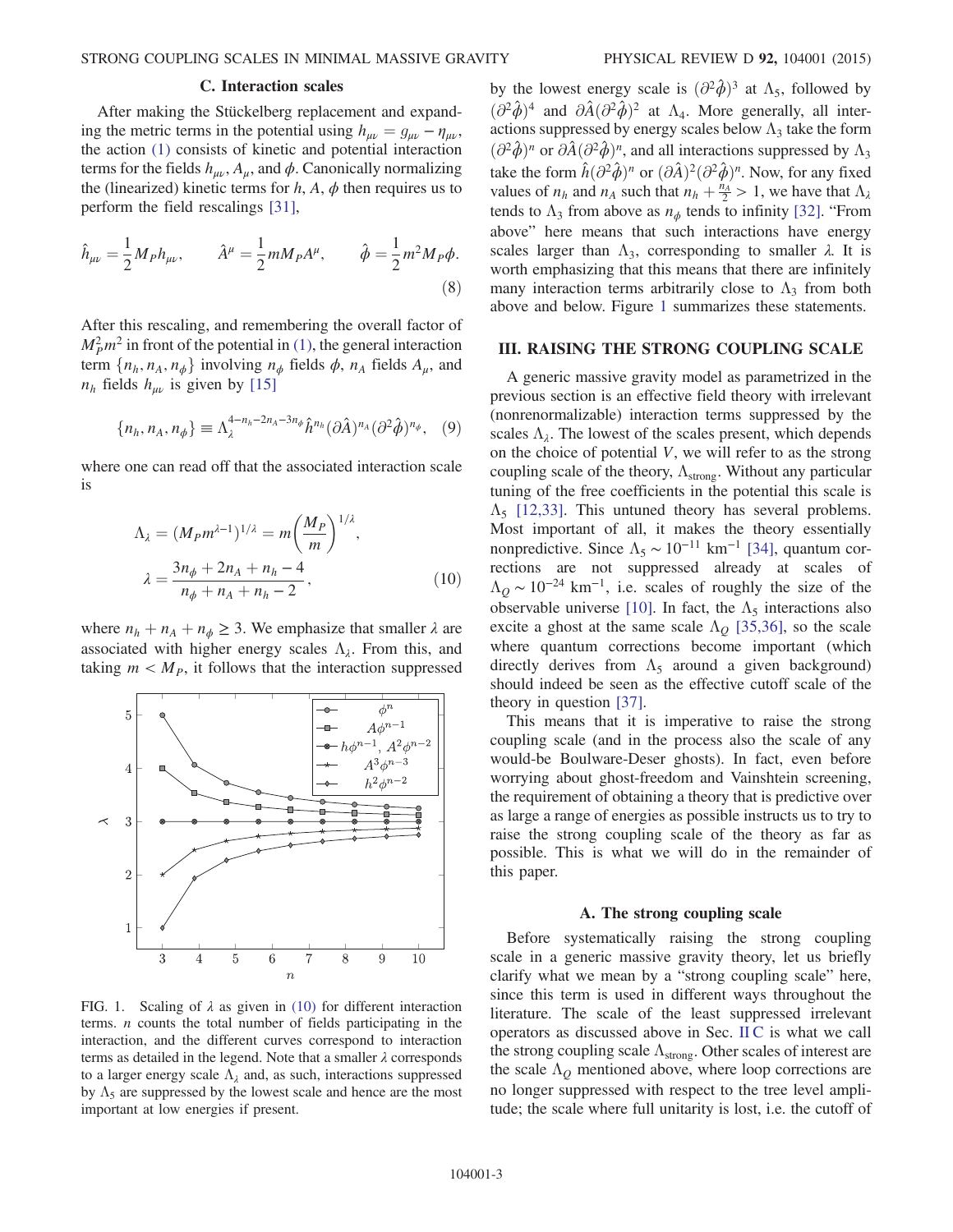## C. Interaction scales

<span id="page-2-2"></span>After making the Stückelberg replacement and expanding the metric terms in the potential using  $h_{\mu\nu} = g_{\mu\nu} - \eta_{\mu\nu}$ , the action [\(1\)](#page-1-0) consists of kinetic and potential interaction terms for the fields  $h_{\mu\nu}$ ,  $A_{\mu}$ , and  $\phi$ . Canonically normalizing the (linearized) kinetic terms for  $h$ ,  $A$ ,  $\phi$  then requires us to perform the field rescalings [\[31\]](#page-10-12),

$$
\hat{h}_{\mu\nu} = \frac{1}{2} M_P h_{\mu\nu}, \qquad \hat{A}^{\mu} = \frac{1}{2} m M_P A^{\mu}, \qquad \hat{\phi} = \frac{1}{2} m^2 M_P \phi.
$$
\n(8)

<span id="page-2-4"></span>After this rescaling, and remembering the overall factor of  $M_P^2 m^2$  in front of the potential in [\(1\),](#page-1-0) the general interaction term  $\{n_h, n_A, n_\phi\}$  involving  $n_\phi$  fields  $\phi$ ,  $n_A$  fields  $A_\mu$ , and  $n_h$  fields  $h_{\mu\nu}$  is given by [\[15\]](#page-10-13)

$$
\{n_h, n_A, n_\phi\} \equiv \Lambda_\lambda^{4-n_h-2n_A-3n_\phi} \hat{h}^{n_h} (\partial \hat{A})^{n_A} (\partial^2 \hat{\phi})^{n_\phi}, \quad (9)
$$

<span id="page-2-3"></span>where one can read off that the associated interaction scale is

$$
\Lambda_{\lambda} = (M_{P}m^{\lambda-1})^{1/\lambda} = m \left(\frac{M_{P}}{m}\right)^{1/\lambda},
$$
  

$$
\lambda = \frac{3n_{\phi} + 2n_{A} + n_{h} - 4}{n_{\phi} + n_{A} + n_{h} - 2},
$$
 (10)

where  $n_h + n_A + n_\phi \geq 3$ . We emphasize that smaller  $\lambda$  are associated with higher energy scales  $\Lambda_{\lambda}$ . From this, and taking  $m < M<sub>P</sub>$ , it follows that the interaction suppressed

<span id="page-2-1"></span>

FIG. 1. Scaling of  $\lambda$  as given in [\(10\)](#page-2-3) for different interaction terms.  $n$  counts the total number of fields participating in the interaction, and the different curves correspond to interaction terms as detailed in the legend. Note that a smaller  $\lambda$  corresponds to a larger energy scale  $\Lambda_{\lambda}$  and, as such, interactions suppressed by  $\Lambda_5$  are suppressed by the lowest scale and hence are the most important at low energies if present.

by the lowest energy scale is  $(\partial^2 \hat{\phi})^3$  at  $\Lambda_5$ , followed by  $\left(\partial^2 \hat{\phi}\right)^4$  and  $\partial \hat{A} (\partial^2 \hat{\phi})^2$  at  $\Lambda_4$ . More generally, all interactions suppressed by energy scales below  $\Lambda_3$  take the form  $\left(\frac{\partial^2 \hat{\phi}}{\partial n}\right)^n$  or  $\partial \hat{A}(\partial^2 \hat{\phi})^n$ , and all interactions suppressed by  $\Lambda_3$ take the form  $\hat{h}(\partial^2 \hat{\phi})^n$  or  $(\partial \hat{A})^2(\partial^2 \hat{\phi})^n$ . Now, for any fixed values of  $n_h$  and  $n_A$  such that  $n_h + \frac{n_A}{2} > 1$ , we have that  $\Lambda_{\lambda}$  tends to  $\Lambda_{\lambda}$  from above as  $n_{\lambda}$  tends to infinity [32]. "From tends to  $\Lambda_3$  from above as  $n_{\phi}$  tends to infinity [\[32\]](#page-10-14). "From above" here means that such interactions have energy scales larger than  $\Lambda_3$ , corresponding to smaller  $\lambda$ . It is worth emphasizing that this means that there are infinitely many interaction terms arbitrarily close to  $\Lambda_3$  from both above and below. Figure [1](#page-2-1) summarizes these statements.

#### <span id="page-2-0"></span>III. RAISING THE STRONG COUPLING SCALE

A generic massive gravity model as parametrized in the previous section is an effective field theory with irrelevant (nonrenormalizable) interaction terms suppressed by the scales  $\Lambda_{\lambda}$ . The lowest of the scales present, which depends on the choice of potential  $V$ , we will refer to as the strong coupling scale of the theory,  $\Lambda_{\text{strong}}$ . Without any particular tuning of the free coefficients in the potential this scale is  $\Lambda$ <sub>5</sub> [\[12,33\]](#page-10-1). This untuned theory has several problems. Most important of all, it makes the theory essentially nonpredictive. Since  $\Lambda_5 \sim 10^{-11}$  km<sup>-1</sup> [\[34\]](#page-10-15), quantum corrections are not suppressed already at scales of  $\Lambda$ <sub>O</sub> ~ 10<sup>-24</sup> km<sup>-1</sup>, i.e. scales of roughly the size of the observable universe [\[10\]](#page-10-0). In fact, the  $\Lambda_5$  interactions also excite a ghost at the same scale  $\Lambda$ <sub>O</sub> [\[35,36\]](#page-10-16), so the scale where quantum corrections become important (which directly derives from  $\Lambda_5$  around a given background) should indeed be seen as the effective cutoff scale of the theory in question [\[37\]](#page-10-17).

This means that it is imperative to raise the strong coupling scale (and in the process also the scale of any would-be Boulware-Deser ghosts). In fact, even before worrying about ghost-freedom and Vainshtein screening, the requirement of obtaining a theory that is predictive over as large a range of energies as possible instructs us to try to raise the strong coupling scale of the theory as far as possible. This is what we will do in the remainder of this paper.

### A. The strong coupling scale

Before systematically raising the strong coupling scale in a generic massive gravity theory, let us briefly clarify what we mean by a "strong coupling scale" here, since this term is used in different ways throughout the literature. The scale of the least suppressed irrelevant operators as discussed above in Sec. [II C](#page-2-2) is what we call the strong coupling scale  $\Lambda_{\text{strong}}$ . Other scales of interest are the scale  $\Lambda$ <sub>O</sub> mentioned above, where loop corrections are no longer suppressed with respect to the tree level amplitude; the scale where full unitarity is lost, i.e. the cutoff of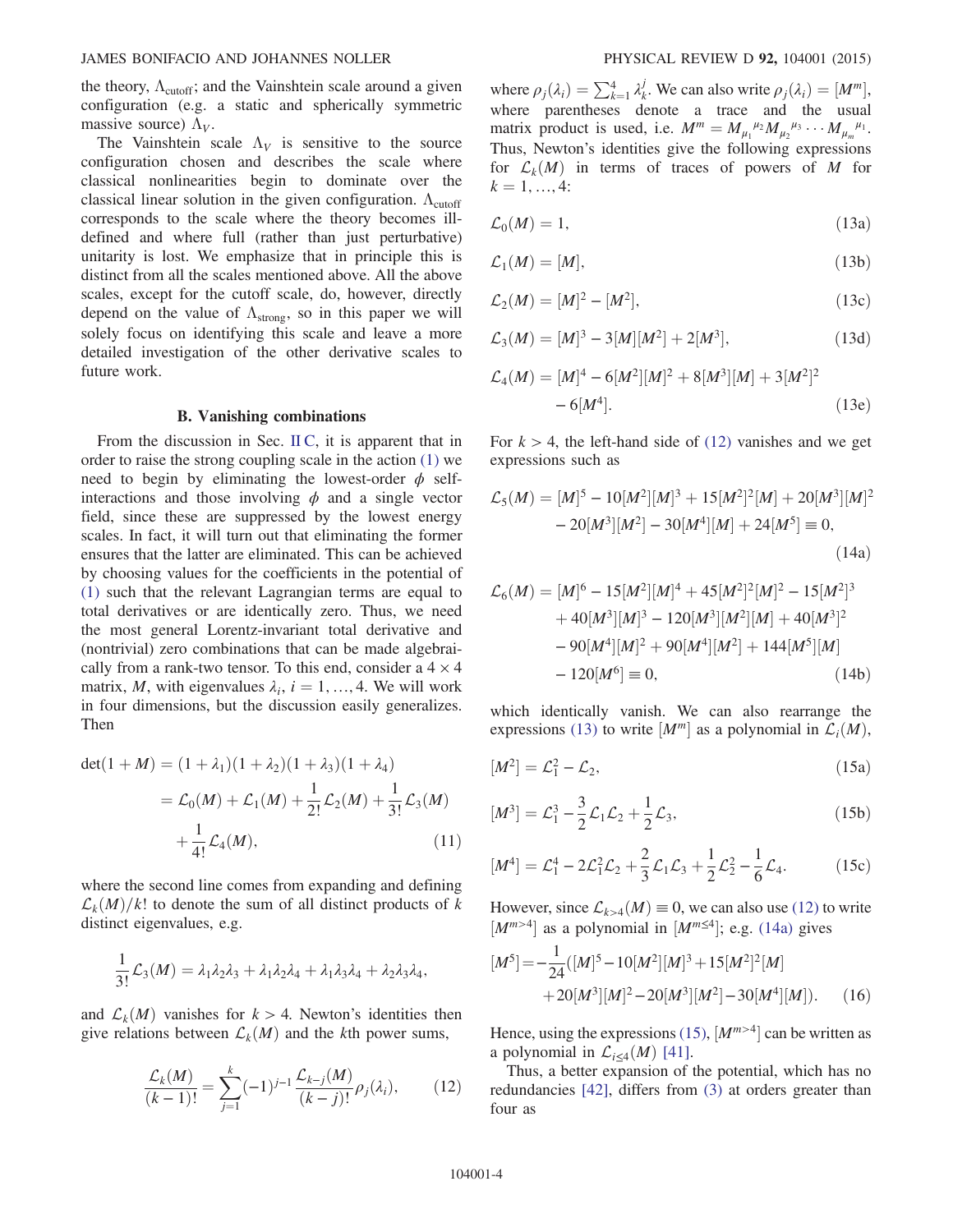the theory,  $\Lambda_{\text{cutoff}}$ ; and the Vainshtein scale around a given configuration (e.g. a static and spherically symmetric massive source)  $\Lambda_V$ .

The Vainshtein scale  $\Lambda_V$  is sensitive to the source configuration chosen and describes the scale where classical nonlinearities begin to dominate over the classical linear solution in the given configuration.  $\Lambda_{\text{cutoff}}$ corresponds to the scale where the theory becomes illdefined and where full (rather than just perturbative) unitarity is lost. We emphasize that in principle this is distinct from all the scales mentioned above. All the above scales, except for the cutoff scale, do, however, directly depend on the value of  $\Lambda_{\text{strong}}$ , so in this paper we will solely focus on identifying this scale and leave a more detailed investigation of the other derivative scales to future work.

## B. Vanishing combinations

From the discussion in Sec. [II C,](#page-2-2) it is apparent that in order to raise the strong coupling scale in the action [\(1\)](#page-1-0) we need to begin by eliminating the lowest-order  $\phi$  selfinteractions and those involving  $\phi$  and a single vector field, since these are suppressed by the lowest energy scales. In fact, it will turn out that eliminating the former ensures that the latter are eliminated. This can be achieved by choosing values for the coefficients in the potential of [\(1\)](#page-1-0) such that the relevant Lagrangian terms are equal to total derivatives or are identically zero. Thus, we need the most general Lorentz-invariant total derivative and (nontrivial) zero combinations that can be made algebraically from a rank-two tensor. To this end, consider a  $4 \times 4$ matrix, M, with eigenvalues  $\lambda_i$ ,  $i = 1, ..., 4$ . We will work in four dimensions, but the discussion easily generalizes. Then

$$
det(1 + M) = (1 + \lambda_1)(1 + \lambda_2)(1 + \lambda_3)(1 + \lambda_4)
$$
  
=  $\mathcal{L}_0(M) + \mathcal{L}_1(M) + \frac{1}{2!} \mathcal{L}_2(M) + \frac{1}{3!} \mathcal{L}_3(M)$   
+  $\frac{1}{4!} \mathcal{L}_4(M)$ , (11)

where the second line comes from expanding and defining  $\mathcal{L}_k(M)/k!$  to denote the sum of all distinct products of k distinct eigenvalues, e.g.

$$
\frac{1}{3!}\mathcal{L}_3(M)=\lambda_1\lambda_2\lambda_3+\lambda_1\lambda_2\lambda_4+\lambda_1\lambda_3\lambda_4+\lambda_2\lambda_3\lambda_4,
$$

<span id="page-3-0"></span>and  $\mathcal{L}_k(M)$  vanishes for  $k > 4$ . Newton's identities then give relations between  $\mathcal{L}_k(M)$  and the kth power sums,

$$
\frac{\mathcal{L}_k(M)}{(k-1)!} = \sum_{j=1}^k (-1)^{j-1} \frac{\mathcal{L}_{k-j}(M)}{(k-j)!} \rho_j(\lambda_i),\tag{12}
$$

where  $\rho_j(\lambda_i) = \sum_{k=1}^4 \lambda_k^j$ . We can also write  $\rho_j(\lambda_i) = [M^m]$ , where parentheses denote a trace and the usual matrix product is used, i.e.  $M^m = M_{\mu_1}^{\mu_2} M_{\mu_2}^{\mu_3} \cdots M_{\mu_m}^{\mu_1}$ .<br>Thus Newton's identities give the following expressions Thus, Newton's identities give the following expressions for  $\mathcal{L}_k(M)$  in terms of traces of powers of M for  $k = 1, ..., 4$ :

<span id="page-3-1"></span>
$$
\mathcal{L}_0(M) = 1,\tag{13a}
$$

$$
\mathcal{L}_1(M) = [M],\tag{13b}
$$

$$
\mathcal{L}_2(M) = [M]^2 - [M^2],\tag{13c}
$$

$$
\mathcal{L}_3(M) = [M]^3 - 3[M][M^2] + 2[M^3],\tag{13d}
$$

$$
\mathcal{L}_4(M) = [M]^4 - 6[M^2][M]^2 + 8[M^3][M] + 3[M^2]^2 - 6[M^4].
$$
\n(13e)

<span id="page-3-2"></span>For  $k > 4$ , the left-hand side of [\(12\)](#page-3-0) vanishes and we get expressions such as

$$
\mathcal{L}_5(M) = [M]^5 - 10[M^2][M]^3 + 15[M^2]^2[M] + 20[M^3][M]^2
$$
  
- 20[M<sup>3</sup>][M<sup>2</sup>] - 30[M<sup>4</sup>][M] + 24[M<sup>5</sup>] = 0,  
(14a)

$$
\mathcal{L}_6(M) = [M]^6 - 15[M^2][M]^4 + 45[M^2]^2[M]^2 - 15[M^2]^3
$$
  
+ 40[M^3][M]^3 - 120[M^3][M^2][M] + 40[M^3]^2  
- 90[M^4][M]^2 + 90[M^4][M^2] + 144[M^5][M]  
- 120[M^6] \equiv 0, (14b)

<span id="page-3-3"></span>which identically vanish. We can also rearrange the expressions [\(13\)](#page-3-1) to write  $[M<sup>m</sup>]$  as a polynomial in  $\mathcal{L}<sub>i</sub>(M)$ ,

$$
[M^2] = \mathcal{L}_1^2 - \mathcal{L}_2,\tag{15a}
$$

$$
[M^3] = \mathcal{L}_1^3 - \frac{3}{2}\mathcal{L}_1\mathcal{L}_2 + \frac{1}{2}\mathcal{L}_3,\tag{15b}
$$

$$
[M^4] = \mathcal{L}_1^4 - 2\mathcal{L}_1^2 \mathcal{L}_2 + \frac{2}{3}\mathcal{L}_1 \mathcal{L}_3 + \frac{1}{2}\mathcal{L}_2^2 - \frac{1}{6}\mathcal{L}_4.
$$
 (15c)

<span id="page-3-4"></span>However, since  $\mathcal{L}_{k>4}(M) \equiv 0$ , we can also use [\(12\)](#page-3-0) to write  $[M^{m>4}]$  as a polynomial in  $[M^{m\leq 4}]$ ; e.g. [\(14a\)](#page-3-2) gives

$$
[M5] = -\frac{1}{24}([M]5 - 10[M2][M]3 + 15[M2]2[M] + 20[M3][M]2 - 20[M3][M2] - 30[M4][M]).
$$
 (16)

Hence, using the expressions [\(15\),](#page-3-3)  $[M^{m>4}]$  can be written as a polynomial in  $\mathcal{L}_{i \leq 4}(M)$  [\[41\]](#page-10-18).

<span id="page-3-5"></span>Thus, a better expansion of the potential, which has no redundancies [\[42\]](#page-10-19), differs from [\(3\)](#page-1-1) at orders greater than four as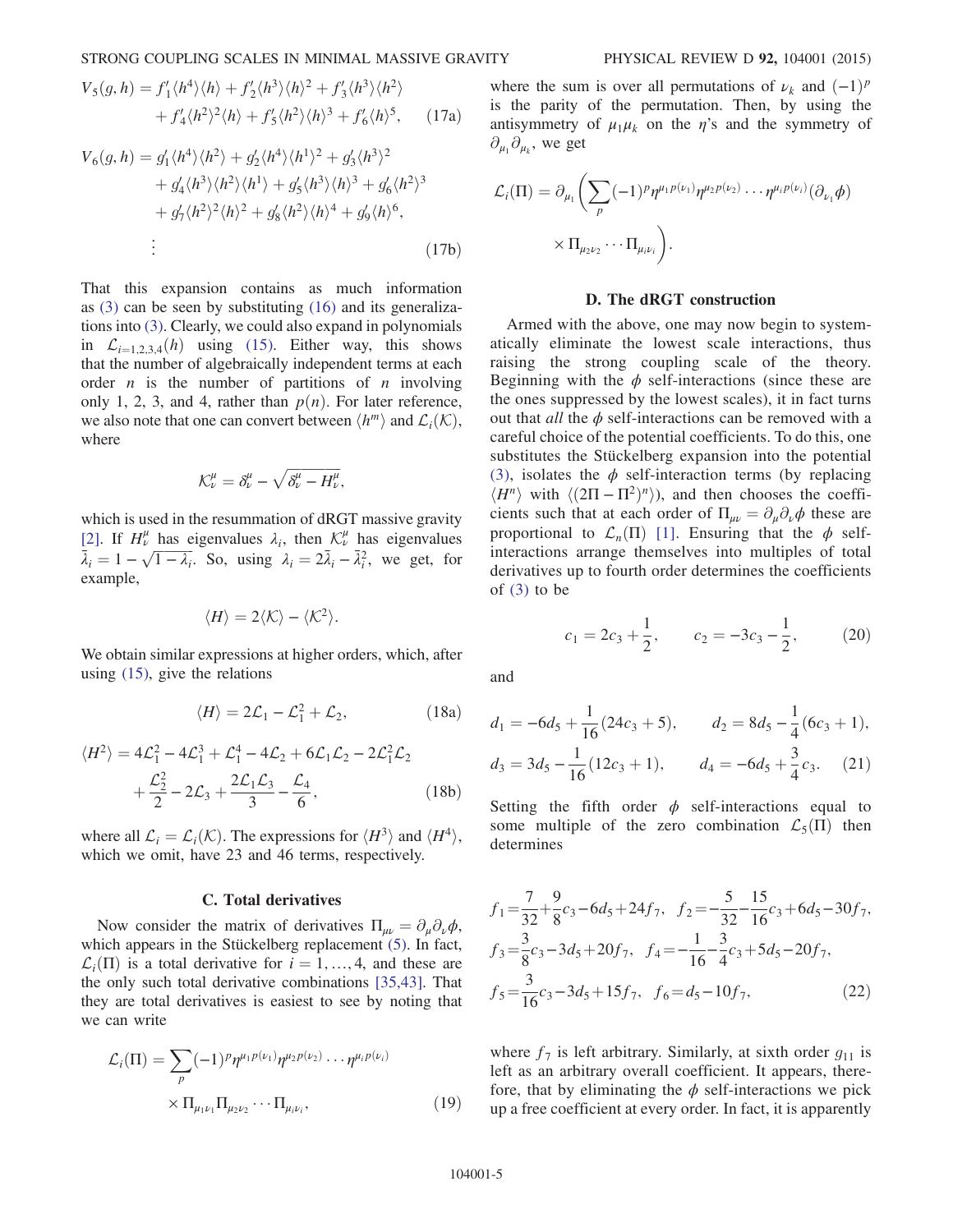$$
V_5(g, h) = f'_1 \langle h^4 \rangle \langle h \rangle + f'_2 \langle h^3 \rangle \langle h \rangle^2 + f'_3 \langle h^3 \rangle \langle h^2 \rangle
$$
  
+  $f'_4 \langle h^2 \rangle^2 \langle h \rangle + f'_5 \langle h^2 \rangle \langle h \rangle^3 + f'_6 \langle h \rangle^5$ , (17a)

$$
V_6(g, h) = g'_1 \langle h^4 \rangle \langle h^2 \rangle + g'_2 \langle h^4 \rangle \langle h^1 \rangle^2 + g'_3 \langle h^3 \rangle^2
$$
  
+  $g'_4 \langle h^3 \rangle \langle h^2 \rangle \langle h^1 \rangle + g'_5 \langle h^3 \rangle \langle h \rangle^3 + g'_6 \langle h^2 \rangle^3$   
+  $g'_7 \langle h^2 \rangle^2 \langle h \rangle^2 + g'_8 \langle h^2 \rangle \langle h \rangle^4 + g'_9 \langle h \rangle^6,$   
...  
...  
(17b)

That this expansion contains as much information as [\(3\)](#page-1-1) can be seen by substituting [\(16\)](#page-3-4) and its generalizations into [\(3\).](#page-1-1) Clearly, we could also expand in polynomials in  $\mathcal{L}_{i=1,2,3,4}(h)$  using [\(15\)](#page-3-3). Either way, this shows that the number of algebraically independent terms at each order  $n$  is the number of partitions of  $n$  involving only 1, 2, 3, and 4, rather than  $p(n)$ . For later reference, we also note that one can convert between  $\langle h^m \rangle$  and  $\mathcal{L}_i(\mathcal{K})$ , where

$$
\mathcal{K}^{\mu}_{\nu}=\delta^{\mu}_{\nu}-\sqrt{\delta^{\mu}_{\nu}-H^{\mu}_{\nu}},
$$

which is used in the resummation of dRGT massive gravity [\[2\]](#page-9-3). If  $H^{\mu}_{\nu}$  has eigenvalues  $\lambda_i$ , then  $\mathcal{K}^{\mu}_{\nu}$ [2]. If  $H_L^{\mu}$  has eigenvalues  $\lambda_i$ , then  $\mathcal{K}_{\mu}^{\mu}$  has eigenvalues  $\bar{\lambda}_i = 1 - \sqrt{1 - \lambda_i}$ . So, using  $\lambda_i = 2\bar{\lambda}_i - \bar{\lambda}_i^2$ , we get, for  $\overline{\lambda}_i = 1 - \sqrt{1 - \lambda_i}$ . So, using  $\lambda_i = 2\overline{\lambda}_i - \overline{\lambda}_i^2$ , we get, for example,

$$
\langle H \rangle = 2 \langle K \rangle - \langle K^2 \rangle.
$$

<span id="page-4-0"></span>We obtain similar expressions at higher orders, which, after using [\(15\),](#page-3-3) give the relations

$$
\langle H \rangle = 2\mathcal{L}_1 - \mathcal{L}_1^2 + \mathcal{L}_2, \tag{18a}
$$

$$
\langle H^2 \rangle = 4\mathcal{L}_1^2 - 4\mathcal{L}_1^3 + \mathcal{L}_1^4 - 4\mathcal{L}_2 + 6\mathcal{L}_1\mathcal{L}_2 - 2\mathcal{L}_1^2\mathcal{L}_2 + \frac{\mathcal{L}_2^2}{2} - 2\mathcal{L}_3 + \frac{2\mathcal{L}_1\mathcal{L}_3}{3} - \frac{\mathcal{L}_4}{6},
$$
 (18b)

where all  $\mathcal{L}_i = \mathcal{L}_i(\mathcal{K})$ . The expressions for  $\langle H^3 \rangle$  and  $\langle H^4 \rangle$ , which we omit, have 23 and 46 terms, respectively.

## C. Total derivatives

Now consider the matrix of derivatives  $\Pi_{\mu\nu} = \partial_{\mu}\partial_{\nu}\phi$ , which appears in the Stückelberg replacement  $(5)$ . In fact,  $\mathcal{L}_i(\Pi)$  is a total derivative for  $i = 1, ..., 4$ , and these are the only such total derivative combinations [\[35,43\]](#page-10-16). That they are total derivatives is easiest to see by noting that we can write

$$
\mathcal{L}_{i}(\Pi) = \sum_{p} (-1)^{p} \eta^{\mu_{1} p(\nu_{1})} \eta^{\mu_{2} p(\nu_{2})} \cdots \eta^{\mu_{i} p(\nu_{i})} \times \Pi_{\mu_{1} \nu_{1}} \Pi_{\mu_{2} \nu_{2}} \cdots \Pi_{\mu_{i} \nu_{i}},
$$
\n(19)

where the sum is over all permutations of  $\nu_k$  and  $(-1)^p$ is the parity of the permutation. Then, by using the antisymmetry of  $\mu_1\mu_k$  on the  $\eta$ 's and the symmetry of  $\partial_{\mu_1}\partial_{\mu_k}$ , we get

$$
\mathcal{L}_i(\Pi) = \partial_{\mu_1} \left( \sum_p (-1)^p \eta^{\mu_1 p(\nu_1)} \eta^{\mu_2 p(\nu_2)} \cdots \eta^{\mu_i p(\nu_i)} (\partial_{\nu_1} \phi) \times \Pi_{\mu_2 \nu_2} \cdots \Pi_{\mu_i \nu_i} \right).
$$

### D. The dRGT construction

Armed with the above, one may now begin to systematically eliminate the lowest scale interactions, thus raising the strong coupling scale of the theory. Beginning with the  $\phi$  self-interactions (since these are the ones suppressed by the lowest scales), it in fact turns out that *all* the  $\phi$  self-interactions can be removed with a careful choice of the potential coefficients. To do this, one substitutes the Stückelberg expansion into the potential [\(3\),](#page-1-1) isolates the  $\phi$  self-interaction terms (by replacing  $\langle H^n \rangle$  with  $\langle (2\Pi - \Pi^2)^n \rangle$ , and then chooses the coefficients such that at each order of  $\Pi_{\mu\nu} = \partial_{\mu}\partial_{\nu}\phi$  these are proportional to  $\mathcal{L}_n(\Pi)$  [\[1\]](#page-9-0). Ensuring that the  $\phi$  selfinteractions arrange themselves into multiples of total derivatives up to fourth order determines the coefficients of [\(3\)](#page-1-1) to be

$$
c_1 = 2c_3 + \frac{1}{2}
$$
,  $c_2 = -3c_3 - \frac{1}{2}$ , (20)

and

$$
d_1 = -6d_5 + \frac{1}{16}(24c_3 + 5), \qquad d_2 = 8d_5 - \frac{1}{4}(6c_3 + 1),
$$
  

$$
d_3 = 3d_5 - \frac{1}{16}(12c_3 + 1), \qquad d_4 = -6d_5 + \frac{3}{4}c_3.
$$
 (21)

Setting the fifth order  $\phi$  self-interactions equal to some multiple of the zero combination  $\mathcal{L}_5(\Pi)$  then determines

$$
f_1 = \frac{7}{32} + \frac{9}{8}c_3 - 6d_5 + 24f_7, \quad f_2 = -\frac{5}{32} - \frac{15}{16}c_3 + 6d_5 - 30f_7,
$$
  
\n
$$
f_3 = \frac{3}{8}c_3 - 3d_5 + 20f_7, \quad f_4 = -\frac{1}{16} - \frac{3}{4}c_3 + 5d_5 - 20f_7,
$$
  
\n
$$
f_5 = \frac{3}{16}c_3 - 3d_5 + 15f_7, \quad f_6 = d_5 - 10f_7,
$$
\n(22)

where  $f_7$  is left arbitrary. Similarly, at sixth order  $g_{11}$  is left as an arbitrary overall coefficient. It appears, therefore, that by eliminating the  $\phi$  self-interactions we pick up a free coefficient at every order. In fact, it is apparently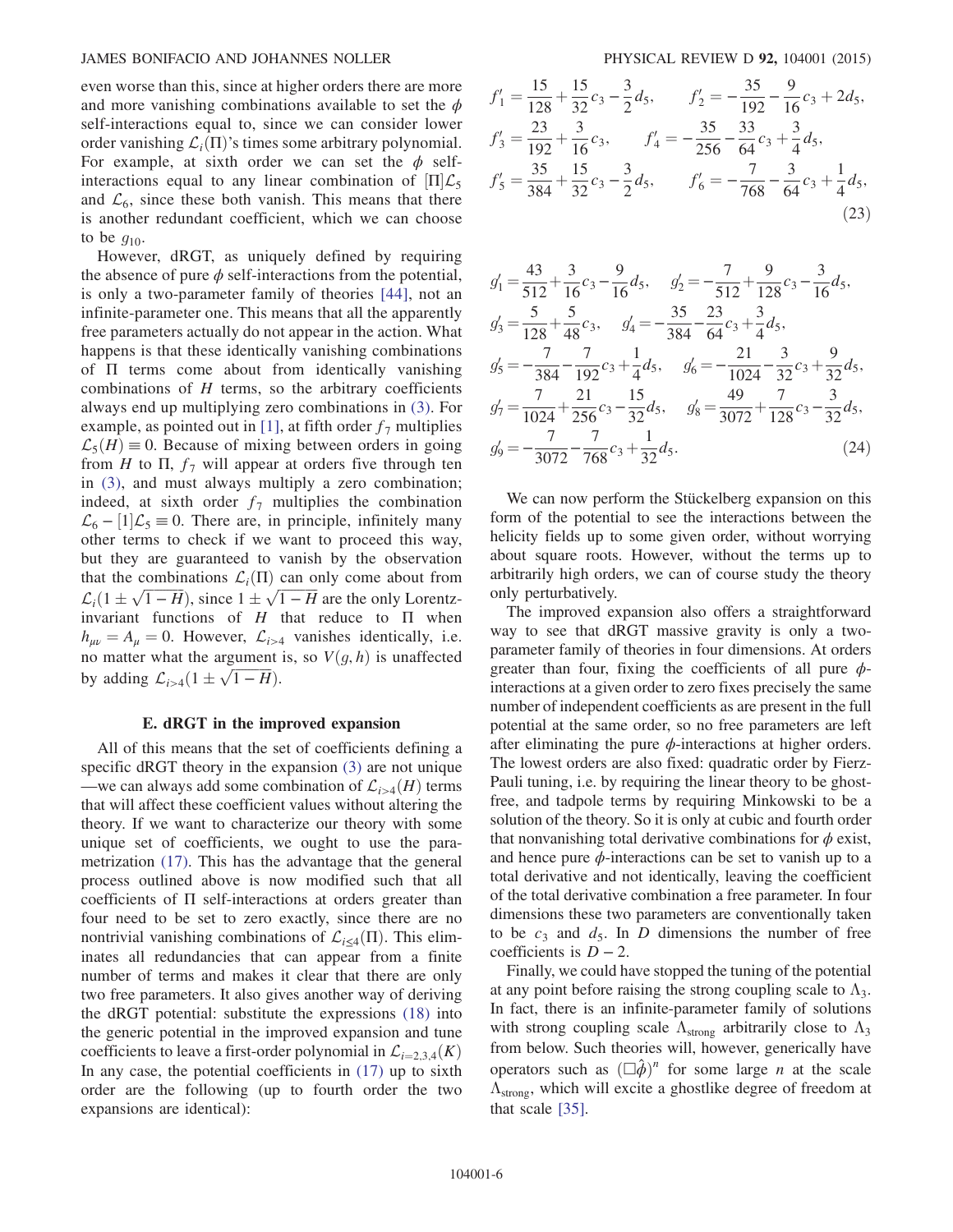even worse than this, since at higher orders there are more and more vanishing combinations available to set the  $\phi$ self-interactions equal to, since we can consider lower order vanishing  $\mathcal{L}_i(\Pi)$ 's times some arbitrary polynomial. For example, at sixth order we can set the  $\phi$  selfinteractions equal to any linear combination of  $\Pi|\mathcal{L}_5$ and  $\mathcal{L}_6$ , since these both vanish. This means that there is another redundant coefficient, which we can choose to be  $q_{10}$ .

However, dRGT, as uniquely defined by requiring the absence of pure  $\phi$  self-interactions from the potential, is only a two-parameter family of theories [\[44\]](#page-10-20), not an infinite-parameter one. This means that all the apparently free parameters actually do not appear in the action. What happens is that these identically vanishing combinations of Π terms come about from identically vanishing combinations of  $H$  terms, so the arbitrary coefficients always end up multiplying zero combinations in [\(3\).](#page-1-1) For example, as pointed out in [\[1\],](#page-9-0) at fifth order  $f_7$  multiplies  $\mathcal{L}_5(H) \equiv 0$ . Because of mixing between orders in going from H to  $\Pi$ ,  $f_7$  will appear at orders five through ten in [\(3\),](#page-1-1) and must always multiply a zero combination; indeed, at sixth order  $f_7$  multiplies the combination  $\mathcal{L}_6$  –  $[1]\mathcal{L}_5 \equiv 0$ . There are, in principle, infinitely many other terms to check if we want to proceed this way, but they are guaranteed to vanish by the observation that the combinations  $\mathcal{L}_i(\Pi)$  can only come about from  $\mathcal{L}_i(1 \pm \sqrt{1-H})$ , since  $1 \pm \sqrt{1-H}$  are the only Lorentz-<br>invariant functions of H that reduce to  $\Pi$  when invariant functions of  $H$  that reduce to  $\Pi$  when  $h_{\mu\nu} = A_{\mu} = 0$ . However,  $\mathcal{L}_{i>4}$  vanishes identically, i.e. no matter what the argument is, so  $V(g, h)$  is unaffected by adding  $\mathcal{L}_{i>4}(1 \pm \sqrt{1 - H}).$ 

### E. dRGT in the improved expansion

All of this means that the set of coefficients defining a specific dRGT theory in the expansion [\(3\)](#page-1-1) are not unique —we can always add some combination of  $\mathcal{L}_{i>4}(H)$  terms that will affect these coefficient values without altering the theory. If we want to characterize our theory with some unique set of coefficients, we ought to use the parametrization [\(17\).](#page-3-5) This has the advantage that the general process outlined above is now modified such that all coefficients of  $\Pi$  self-interactions at orders greater than four need to be set to zero exactly, since there are no nontrivial vanishing combinations of  $\mathcal{L}_{i \leq 4}(\Pi)$ . This eliminates all redundancies that can appear from a finite number of terms and makes it clear that there are only two free parameters. It also gives another way of deriving the dRGT potential: substitute the expressions [\(18\)](#page-4-0) into the generic potential in the improved expansion and tune coefficients to leave a first-order polynomial in  $\mathcal{L}_{i=2,3,4}(K)$ In any case, the potential coefficients in  $(17)$  up to sixth order are the following (up to fourth order the two expansions are identical):

$$
f'_1 = \frac{15}{128} + \frac{15}{32}c_3 - \frac{3}{2}d_5, \qquad f'_2 = -\frac{35}{192} - \frac{9}{16}c_3 + 2d_5,
$$
  
\n
$$
f'_3 = \frac{23}{192} + \frac{3}{16}c_3, \qquad f'_4 = -\frac{35}{256} - \frac{33}{64}c_3 + \frac{3}{4}d_5,
$$
  
\n
$$
f'_5 = \frac{35}{384} + \frac{15}{32}c_3 - \frac{3}{2}d_5, \qquad f'_6 = -\frac{7}{768} - \frac{3}{64}c_3 + \frac{1}{4}d_5,
$$
  
\n(23)

$$
g'_1 = \frac{43}{512} + \frac{3}{16}c_3 - \frac{9}{16}d_5, \quad g'_2 = -\frac{7}{512} + \frac{9}{128}c_3 - \frac{3}{16}d_5,
$$
  
\n
$$
g'_3 = \frac{5}{128} + \frac{5}{48}c_3, \quad g'_4 = -\frac{35}{384} - \frac{23}{64}c_3 + \frac{3}{4}d_5,
$$
  
\n
$$
g'_5 = -\frac{7}{384} - \frac{7}{192}c_3 + \frac{1}{4}d_5, \quad g'_6 = -\frac{21}{1024} - \frac{3}{32}c_3 + \frac{9}{32}d_5,
$$
  
\n
$$
g'_7 = \frac{7}{1024} + \frac{21}{256}c_3 - \frac{15}{32}d_5, \quad g'_8 = \frac{49}{3072} + \frac{7}{128}c_3 - \frac{3}{32}d_5,
$$
  
\n
$$
g'_9 = -\frac{7}{3072} - \frac{7}{768}c_3 + \frac{1}{32}d_5.
$$
\n(24)

We can now perform the Stückelberg expansion on this form of the potential to see the interactions between the helicity fields up to some given order, without worrying about square roots. However, without the terms up to arbitrarily high orders, we can of course study the theory only perturbatively.

The improved expansion also offers a straightforward way to see that dRGT massive gravity is only a twoparameter family of theories in four dimensions. At orders greater than four, fixing the coefficients of all pure  $\phi$ interactions at a given order to zero fixes precisely the same number of independent coefficients as are present in the full potential at the same order, so no free parameters are left after eliminating the pure  $\phi$ -interactions at higher orders. The lowest orders are also fixed: quadratic order by Fierz-Pauli tuning, i.e. by requiring the linear theory to be ghostfree, and tadpole terms by requiring Minkowski to be a solution of the theory. So it is only at cubic and fourth order that nonvanishing total derivative combinations for  $\phi$  exist, and hence pure  $\phi$ -interactions can be set to vanish up to a total derivative and not identically, leaving the coefficient of the total derivative combination a free parameter. In four dimensions these two parameters are conventionally taken to be  $c_3$  and  $d_5$ . In D dimensions the number of free coefficients is  $D - 2$ .

Finally, we could have stopped the tuning of the potential at any point before raising the strong coupling scale to  $\Lambda_3$ . In fact, there is an infinite-parameter family of solutions with strong coupling scale  $\Lambda_{\text{strong}}$  arbitrarily close to  $\Lambda_3$ from below. Such theories will, however, generically have operators such as  $(\Box \hat{\phi})^n$  for some large *n* at the scale  $\Lambda$  which will excite a ghostlike degree of freedom at  $\Lambda_{\text{strong}}$ , which will excite a ghostlike degree of freedom at that scale [\[35\].](#page-10-16)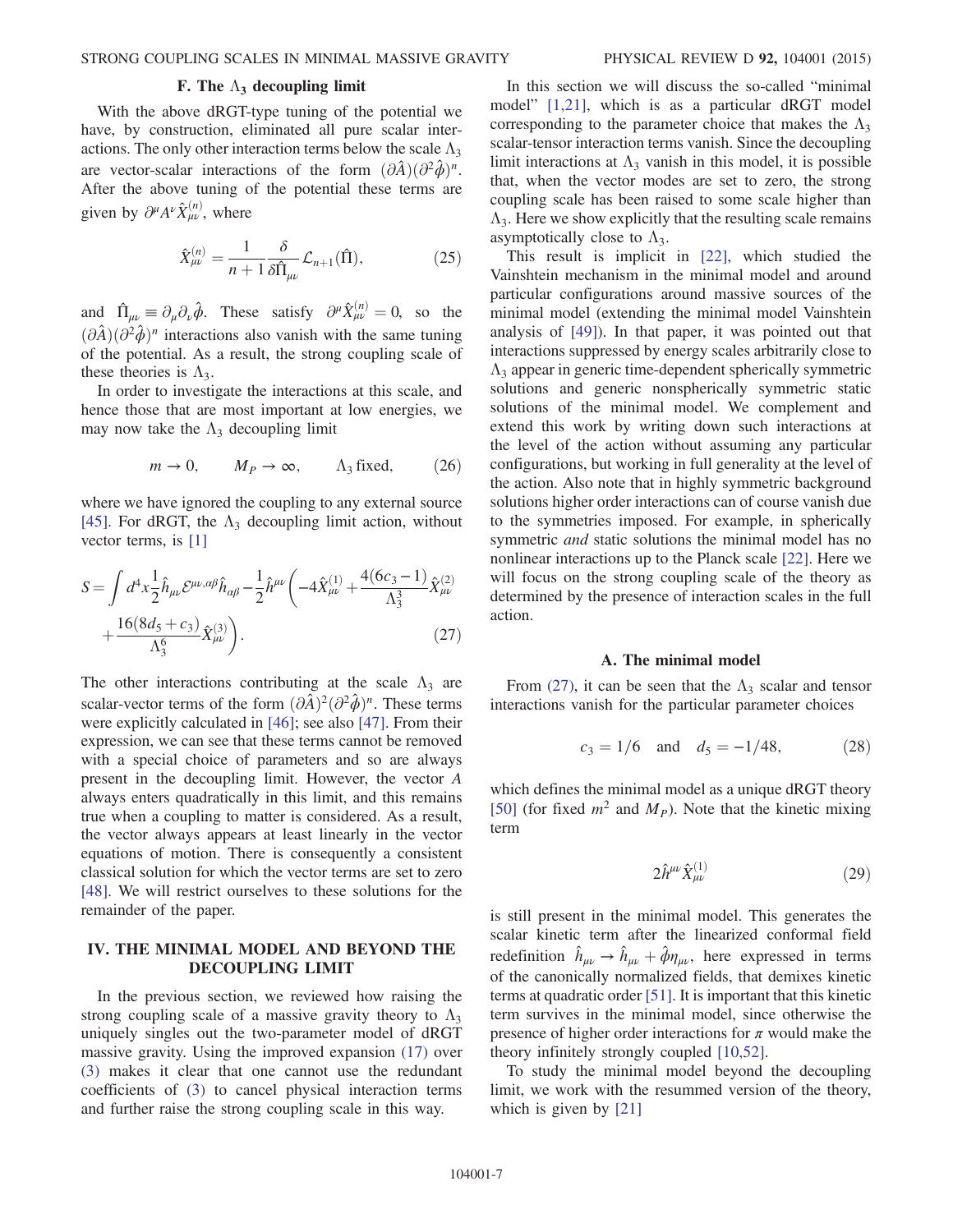# F. The  $\Lambda_3$  decoupling limit

With the above dRGT-type tuning of the potential we have, by construction, eliminated all pure scalar interactions. The only other interaction terms below the scale  $\Lambda_3$ are vector-scalar interactions of the form  $(\partial \hat{A})(\partial^2 \hat{\phi})^n$ . After the above tuning of the potential these terms are given by  $\partial^{\mu}A^{\nu}\hat{X}^{(n)}_{\mu\nu}$ , where

$$
\hat{X}^{(n)}_{\mu\nu} = \frac{1}{n+1} \frac{\delta}{\delta \hat{\Pi}_{\mu\nu}} \mathcal{L}_{n+1}(\hat{\Pi}), \tag{25}
$$

and  $\hat{\Pi}_{\mu\nu} \equiv \partial_{\mu} \partial_{\nu} \hat{\phi}$ . These satisfy  $\partial^{\mu} \hat{X}^{(n)}_{\mu\nu} = 0$ , so the  $(\partial \hat{A})(\partial^2 \hat{\phi})^n$  interactions also vanish with the same tuning of the potential. As a result, the strong coupling scale of these theories is  $\Lambda_3$ .

In order to investigate the interactions at this scale, and hence those that are most important at low energies, we may now take the  $\Lambda_3$  decoupling limit

$$
m \to 0
$$
,  $M_P \to \infty$ ,  $\Lambda_3$  fixed, (26)

<span id="page-6-1"></span>where we have ignored the coupling to any external source [\[45\]](#page-10-21). For dRGT, the  $\Lambda_3$  decoupling limit action, without vector terms, is [\[1\]](#page-9-0)

$$
S = \int d^4x \frac{1}{2} \hat{h}_{\mu\nu} \mathcal{E}^{\mu\nu,\alpha\beta} \hat{h}_{\alpha\beta} - \frac{1}{2} \hat{h}^{\mu\nu} \left( -4 \hat{X}^{(1)}_{\mu\nu} + \frac{4(6c_3 - 1)}{\Lambda_3^3} \hat{X}^{(2)}_{\mu\nu} + \frac{16(8d_5 + c_3)}{\Lambda_3^6} \hat{X}^{(3)}_{\mu\nu} \right).
$$
 (27)

The other interactions contributing at the scale  $\Lambda_3$  are scalar-vector terms of the form  $(\partial \hat{A})^2(\partial^2 \hat{\phi})^n$ . These terms were explicitly calculated in [\[46\]](#page-10-22); see also [\[47\].](#page-10-23) From their expression, we can see that these terms cannot be removed with a special choice of parameters and so are always present in the decoupling limit. However, the vector A always enters quadratically in this limit, and this remains true when a coupling to matter is considered. As a result, the vector always appears at least linearly in the vector equations of motion. There is consequently a consistent classical solution for which the vector terms are set to zero [\[48\]](#page-10-24). We will restrict ourselves to these solutions for the remainder of the paper.

# <span id="page-6-0"></span>IV. THE MINIMAL MODEL AND BEYOND THE DECOUPLING LIMIT

In the previous section, we reviewed how raising the strong coupling scale of a massive gravity theory to  $\Lambda_3$ uniquely singles out the two-parameter model of dRGT massive gravity. Using the improved expansion [\(17\)](#page-3-5) over [\(3\)](#page-1-1) makes it clear that one cannot use the redundant coefficients of [\(3\)](#page-1-1) to cancel physical interaction terms and further raise the strong coupling scale in this way.

In this section we will discuss the so-called "minimal model" [\[1,21\],](#page-9-0) which is as a particular dRGT model corresponding to the parameter choice that makes the  $\Lambda_3$ scalar-tensor interaction terms vanish. Since the decoupling limit interactions at  $\Lambda_3$  vanish in this model, it is possible that, when the vector modes are set to zero, the strong coupling scale has been raised to some scale higher than  $\Lambda_3$ . Here we show explicitly that the resulting scale remains asymptotically close to  $\Lambda_3$ .

This result is implicit in [\[22\]](#page-10-5), which studied the Vainshtein mechanism in the minimal model and around particular configurations around massive sources of the minimal model (extending the minimal model Vainshtein analysis of [\[49\]\)](#page-10-25). In that paper, it was pointed out that interactions suppressed by energy scales arbitrarily close to  $\Lambda_3$  appear in generic time-dependent spherically symmetric solutions and generic nonspherically symmetric static solutions of the minimal model. We complement and extend this work by writing down such interactions at the level of the action without assuming any particular configurations, but working in full generality at the level of the action. Also note that in highly symmetric background solutions higher order interactions can of course vanish due to the symmetries imposed. For example, in spherically symmetric and static solutions the minimal model has no nonlinear interactions up to the Planck scale [\[22\].](#page-10-5) Here we will focus on the strong coupling scale of the theory as determined by the presence of interaction scales in the full action.

### A. The minimal model

From [\(27\),](#page-6-1) it can be seen that the  $\Lambda_3$  scalar and tensor interactions vanish for the particular parameter choices

$$
c_3 = 1/6
$$
 and  $d_5 = -1/48$ , (28)

which defines the minimal model as a unique dRGT theory [\[50\]](#page-10-26) (for fixed  $m^2$  and  $M_p$ ). Note that the kinetic mixing term

$$
2\hat{h}^{\mu\nu}\hat{X}^{(1)}_{\mu\nu} \tag{29}
$$

is still present in the minimal model. This generates the scalar kinetic term after the linearized conformal field redefinition  $\hat{h}_{\mu\nu} \rightarrow \hat{h}_{\mu\nu} + \hat{\phi}\eta_{\mu\nu}$ , here expressed in terms<br>of the canonically normalized fields, that demixes kinetic of the canonically normalized fields, that demixes kinetic terms at quadratic order [\[51\].](#page-10-27) It is important that this kinetic term survives in the minimal model, since otherwise the presence of higher order interactions for  $\pi$  would make the theory infinitely strongly coupled [\[10,52\]](#page-10-0).

<span id="page-6-2"></span>To study the minimal model beyond the decoupling limit, we work with the resummed version of the theory, which is given by [\[21\]](#page-10-6)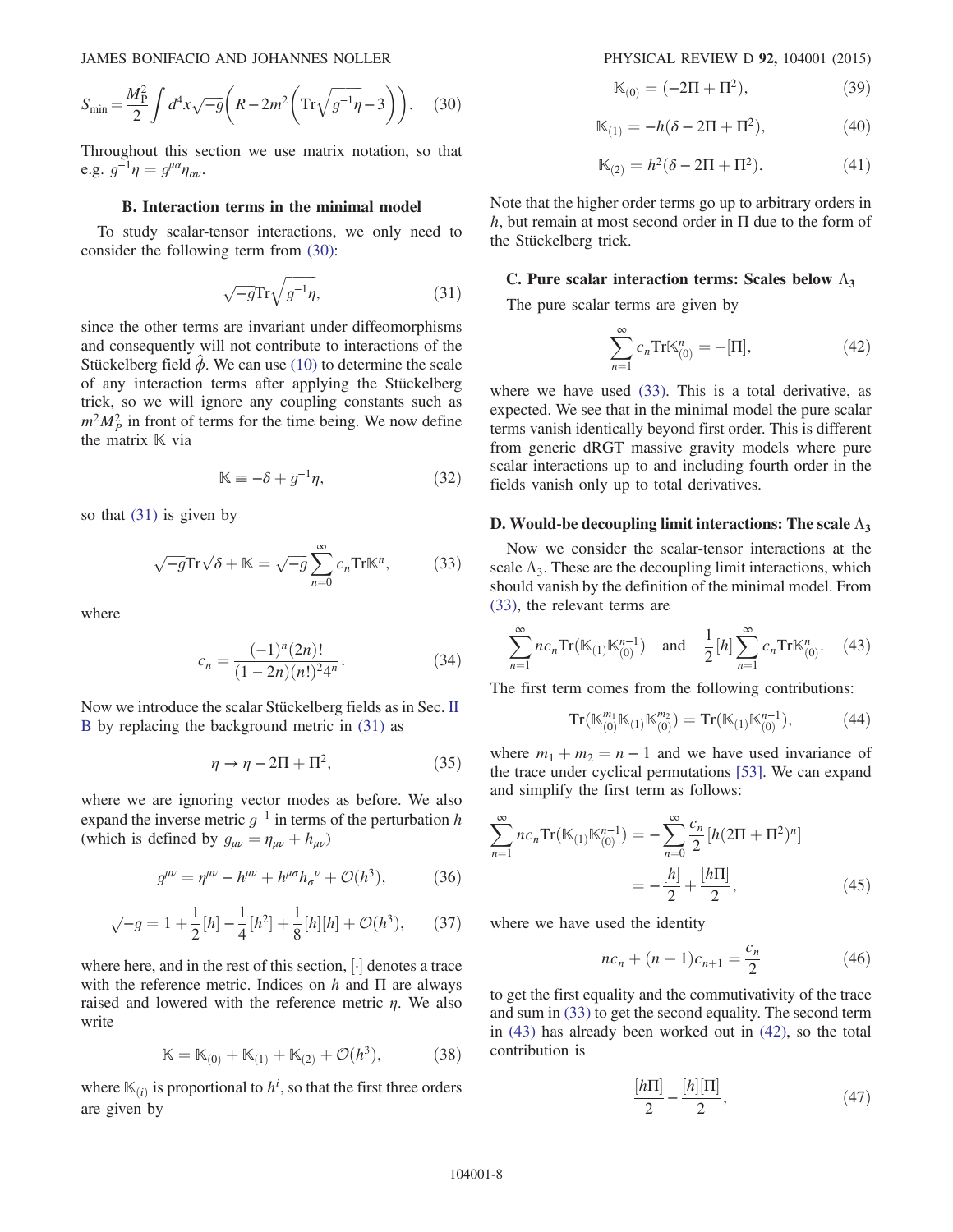$$
S_{\min} = \frac{M_P^2}{2} \int d^4x \sqrt{-g} \left( R - 2m^2 \left( \text{Tr} \sqrt{g^{-1} \eta} - 3 \right) \right). \tag{30}
$$

Throughout this section we use matrix notation, so that e.g.  $g^{-1}\eta = g^{\mu\alpha}\eta_{\alpha\nu}$ .

## B. Interaction terms in the minimal model

<span id="page-7-0"></span>To study scalar-tensor interactions, we only need to consider the following term from [\(30\):](#page-6-2)

$$
\sqrt{-g}\mathrm{Tr}\sqrt{g^{-1}\eta},\tag{31}
$$

since the other terms are invariant under diffeomorphisms and consequently will not contribute to interactions of the Stückelberg field  $\ddot{\phi}$ . We can use [\(10\)](#page-2-3) to determine the scale of any interaction terms after applying the Stückelberg trick, so we will ignore any coupling constants such as  $m^2 M_P^2$  in front of terms for the time being. We now define the matrix  $K$  via

$$
\mathbb{K} \equiv -\delta + g^{-1}\eta,\tag{32}
$$

<span id="page-7-1"></span>so that [\(31\)](#page-7-0) is given by

$$
\sqrt{-g}\text{Tr}\sqrt{\delta + \mathbb{K}} = \sqrt{-g}\sum_{n=0}^{\infty} c_n \text{Tr}\mathbb{K}^n, \tag{33}
$$

where

$$
c_n = \frac{(-1)^n (2n)!}{(1 - 2n)(n!)^2 4^n}.
$$
 (34)

<span id="page-7-6"></span>Now we introduce the scalar Stückelberg fields as in Sec. [II](#page-1-3) [B](#page-1-3) by replacing the background metric in [\(31\)](#page-7-0) as

$$
\eta \to \eta - 2\Pi + \Pi^2,\tag{35}
$$

where we are ignoring vector modes as before. We also expand the inverse metric  $g^{-1}$  in terms of the perturbation h (which is defined by  $g_{\mu\nu} = \eta_{\mu\nu} + h_{\mu\nu}$ )

$$
g^{\mu\nu} = \eta^{\mu\nu} - h^{\mu\nu} + h^{\mu\sigma} h_{\sigma}^{\ \nu} + \mathcal{O}(h^3), \tag{36}
$$

$$
\sqrt{-g} = 1 + \frac{1}{2}[h] - \frac{1}{4}[h^2] + \frac{1}{8}[h][h] + \mathcal{O}(h^3), \qquad (37)
$$

where here, and in the rest of this section,  $\lceil \cdot \rceil$  denotes a trace with the reference metric. Indices on  $h$  and  $\Pi$  are always raised and lowered with the reference metric  $\eta$ . We also write

$$
\mathbb{K} = \mathbb{K}_{(0)} + \mathbb{K}_{(1)} + \mathbb{K}_{(2)} + \mathcal{O}(h^3),
$$
 (38)

where  $\mathbb{K}_{(i)}$  is proportional to  $h^i$ , so that the first three orders are given by

$$
\mathbb{K}_{(0)} = (-2\Pi + \Pi^2),\tag{39}
$$

$$
\mathbb{K}_{(1)} = -h(\delta - 2\Pi + \Pi^2),\tag{40}
$$

$$
\mathbb{K}_{(2)} = h^2(\delta - 2\Pi + \Pi^2). \tag{41}
$$

Note that the higher order terms go up to arbitrary orders in h, but remain at most second order in  $\Pi$  due to the form of the Stückelberg trick.

## C. Pure scalar interaction terms: Scales below  $\Lambda_3$

<span id="page-7-3"></span>The pure scalar terms are given by

$$
\sum_{n=1}^{\infty} c_n \text{Tr} \mathbb{K}_{(0)}^n = -[\Pi],\tag{42}
$$

where we have used [\(33\).](#page-7-1) This is a total derivative, as expected. We see that in the minimal model the pure scalar terms vanish identically beyond first order. This is different from generic dRGT massive gravity models where pure scalar interactions up to and including fourth order in the fields vanish only up to total derivatives.

#### D. Would-be decoupling limit interactions: The scale  $\Lambda_3$

Now we consider the scalar-tensor interactions at the scale  $\Lambda_3$ . These are the decoupling limit interactions, which should vanish by the definition of the minimal model. From [\(33\)](#page-7-1), the relevant terms are

<span id="page-7-2"></span>
$$
\sum_{n=1}^{\infty} nc_n \text{Tr}(\mathbb{K}_{(1)} \mathbb{K}_{(0)}^{n-1}) \quad \text{and} \quad \frac{1}{2} [h] \sum_{n=1}^{\infty} c_n \text{Tr} \mathbb{K}_{(0)}^n. \tag{43}
$$

The first term comes from the following contributions:

$$
Tr(\mathbb{K}_{(0)}^{m_1}\mathbb{K}_{(1)}\mathbb{K}_{(0)}^{m_2})=Tr(\mathbb{K}_{(1)}\mathbb{K}_{(0)}^{n-1}),\qquad(44)
$$

<span id="page-7-4"></span>where  $m_1 + m_2 = n - 1$  and we have used invariance of the trace under cyclical permutations [\[53\]](#page-10-28). We can expand and simplify the first term as follows:

$$
\sum_{n=1}^{\infty} nc_n \text{Tr}(\mathbb{K}_{(1)} \mathbb{K}_{(0)}^{n-1}) = -\sum_{n=0}^{\infty} \frac{c_n}{2} [h(2\Pi + \Pi^2)^n]
$$

$$
= -\frac{[h]}{2} + \frac{[h\Pi]}{2}, \qquad (45)
$$

<span id="page-7-5"></span>where we have used the identity

$$
nc_n + (n+1)c_{n+1} = \frac{c_n}{2}
$$
 (46)

to get the first equality and the commutivativity of the trace and sum in [\(33\)](#page-7-1) to get the second equality. The second term in [\(43\)](#page-7-2) has already been worked out in [\(42\)](#page-7-3), so the total contribution is

$$
\frac{[h\Pi]}{2} - \frac{[h][\Pi]}{2},\tag{47}
$$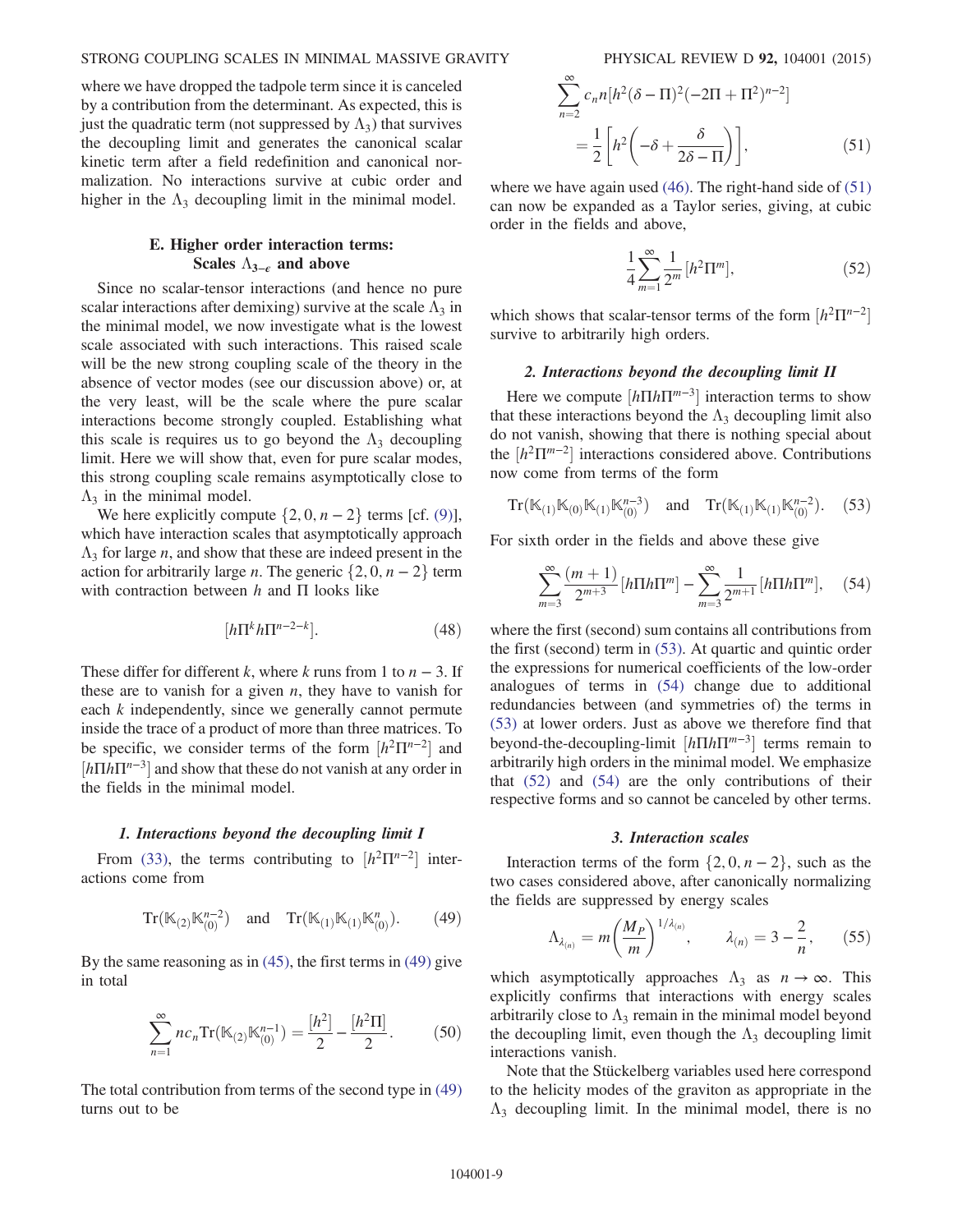# STRONG COUPLING SCALES IN MINIMAL MASSIVE GRAVITY PHYSICAL REVIEW D 92, 104001 (2015)

where we have dropped the tadpole term since it is canceled by a contribution from the determinant. As expected, this is just the quadratic term (not suppressed by  $\Lambda_3$ ) that survives the decoupling limit and generates the canonical scalar kinetic term after a field redefinition and canonical normalization. No interactions survive at cubic order and higher in the  $\Lambda_3$  decoupling limit in the minimal model.

# E. Higher order interaction terms: Scales  $\Lambda_{3-\epsilon}$  and above

Since no scalar-tensor interactions (and hence no pure scalar interactions after demixing) survive at the scale  $\Lambda_3$  in the minimal model, we now investigate what is the lowest scale associated with such interactions. This raised scale will be the new strong coupling scale of the theory in the absence of vector modes (see our discussion above) or, at the very least, will be the scale where the pure scalar interactions become strongly coupled. Establishing what this scale is requires us to go beyond the  $\Lambda_3$  decoupling limit. Here we will show that, even for pure scalar modes, this strong coupling scale remains asymptotically close to  $\Lambda_3$  in the minimal model.

We here explicitly compute  $\{2, 0, n-2\}$  terms [cf. [\(9\)](#page-2-4)], which have interaction scales that asymptotically approach  $\Lambda_3$  for large *n*, and show that these are indeed present in the action for arbitrarily large *n*. The generic  $\{2, 0, n - 2\}$  term with contraction between  $h$  and  $\Pi$  looks like

$$
[h\Pi^k h \Pi^{n-2-k}]. \tag{48}
$$

These differ for different k, where k runs from 1 to  $n - 3$ . If these are to vanish for a given  $n$ , they have to vanish for each *k* independently, since we generally cannot permute inside the trace of a product of more than three matrices. To be specific, we consider terms of the form  $[h^2\Pi^{n-2}]$  and  $[h \Pi h \Pi^{n-3}]$  and show that these do not vanish at any order in the fields in the minimal model.

#### 1. Interactions beyond the decoupling limit I

<span id="page-8-0"></span>From [\(33\),](#page-7-1) the terms contributing to  $[h^2 \Pi^{n-2}]$  interactions come from

$$
Tr(\mathbb{K}_{(2)}\mathbb{K}_{(0)}^{n-2}) \quad \text{and} \quad Tr(\mathbb{K}_{(1)}\mathbb{K}_{(1)}\mathbb{K}_{(0)}^n). \tag{49}
$$

By the same reasoning as in [\(45\)](#page-7-4), the first terms in [\(49\)](#page-8-0) give in total

$$
\sum_{n=1}^{\infty} n c_n \text{Tr}(\mathbb{K}_{(2)} \mathbb{K}_{(0)}^{n-1}) = \frac{[h^2]}{2} - \frac{[h^2 \Pi]}{2}.
$$
 (50)

<span id="page-8-1"></span>The total contribution from terms of the second type in [\(49\)](#page-8-0) turns out to be

$$
\sum_{n=2}^{\infty} c_n n [h^2 (\delta - \Pi)^2 (-2\Pi + \Pi^2)^{n-2}]
$$
  
= 
$$
\frac{1}{2} \left[ h^2 \left( -\delta + \frac{\delta}{2\delta - \Pi} \right) \right],
$$
 (51)

<span id="page-8-4"></span>where we have again used [\(46\).](#page-7-5) The right-hand side of [\(51\)](#page-8-1) can now be expanded as a Taylor series, giving, at cubic order in the fields and above,

$$
\frac{1}{4} \sum_{m=1}^{\infty} \frac{1}{2^m} [h^2 \Pi^m],\tag{52}
$$

which shows that scalar-tensor terms of the form  $[h^2\Pi^{n-2}]$ survive to arbitrarily high orders.

#### 2. Interactions beyond the decoupling limit II

Here we compute  $[h\Pi h \Pi^{m-3}]$  interaction terms to show that these interactions beyond the  $\Lambda_3$  decoupling limit also do not vanish, showing that there is nothing special about the  $[h^2\Pi^{m-2}]$  interactions considered above. Contributions now come from terms of the form

<span id="page-8-2"></span>Tr(
$$
\mathbb{K}_{(1)}\mathbb{K}_{(0)}\mathbb{K}_{(1)}\mathbb{K}_{(0)}^{n-3}
$$
) and Tr( $\mathbb{K}_{(1)}\mathbb{K}_{(1)}\mathbb{K}_{(0)}^{n-2}$ ). (53)

<span id="page-8-3"></span>For sixth order in the fields and above these give

$$
\sum_{m=3}^{\infty} \frac{(m+1)}{2^{m+3}} \left[ h \Pi h \Pi^m \right] - \sum_{m=3}^{\infty} \frac{1}{2^{m+1}} \left[ h \Pi h \Pi^m \right], \quad (54)
$$

where the first (second) sum contains all contributions from the first (second) term in [\(53\)](#page-8-2). At quartic and quintic order the expressions for numerical coefficients of the low-order analogues of terms in [\(54\)](#page-8-3) change due to additional redundancies between (and symmetries of) the terms in [\(53\)](#page-8-2) at lower orders. Just as above we therefore find that beyond-the-decoupling-limit  $[h\Pi h \Pi^{m-3}]$  terms remain to arbitrarily high orders in the minimal model. We emphasize that [\(52\)](#page-8-4) and [\(54\)](#page-8-3) are the only contributions of their respective forms and so cannot be canceled by other terms.

#### 3. Interaction scales

Interaction terms of the form  $\{2, 0, n - 2\}$ , such as the two cases considered above, after canonically normalizing the fields are suppressed by energy scales

$$
\Lambda_{\lambda_{(n)}} = m \left( \frac{M_P}{m} \right)^{1/\lambda_{(n)}}, \qquad \lambda_{(n)} = 3 - \frac{2}{n}, \qquad (55)
$$

which asymptotically approaches  $\Lambda_3$  as  $n \to \infty$ . This explicitly confirms that interactions with energy scales arbitrarily close to  $\Lambda_3$  remain in the minimal model beyond the decoupling limit, even though the  $\Lambda_3$  decoupling limit interactions vanish.

Note that the Stückelberg variables used here correspond to the helicity modes of the graviton as appropriate in the  $\Lambda_3$  decoupling limit. In the minimal model, there is no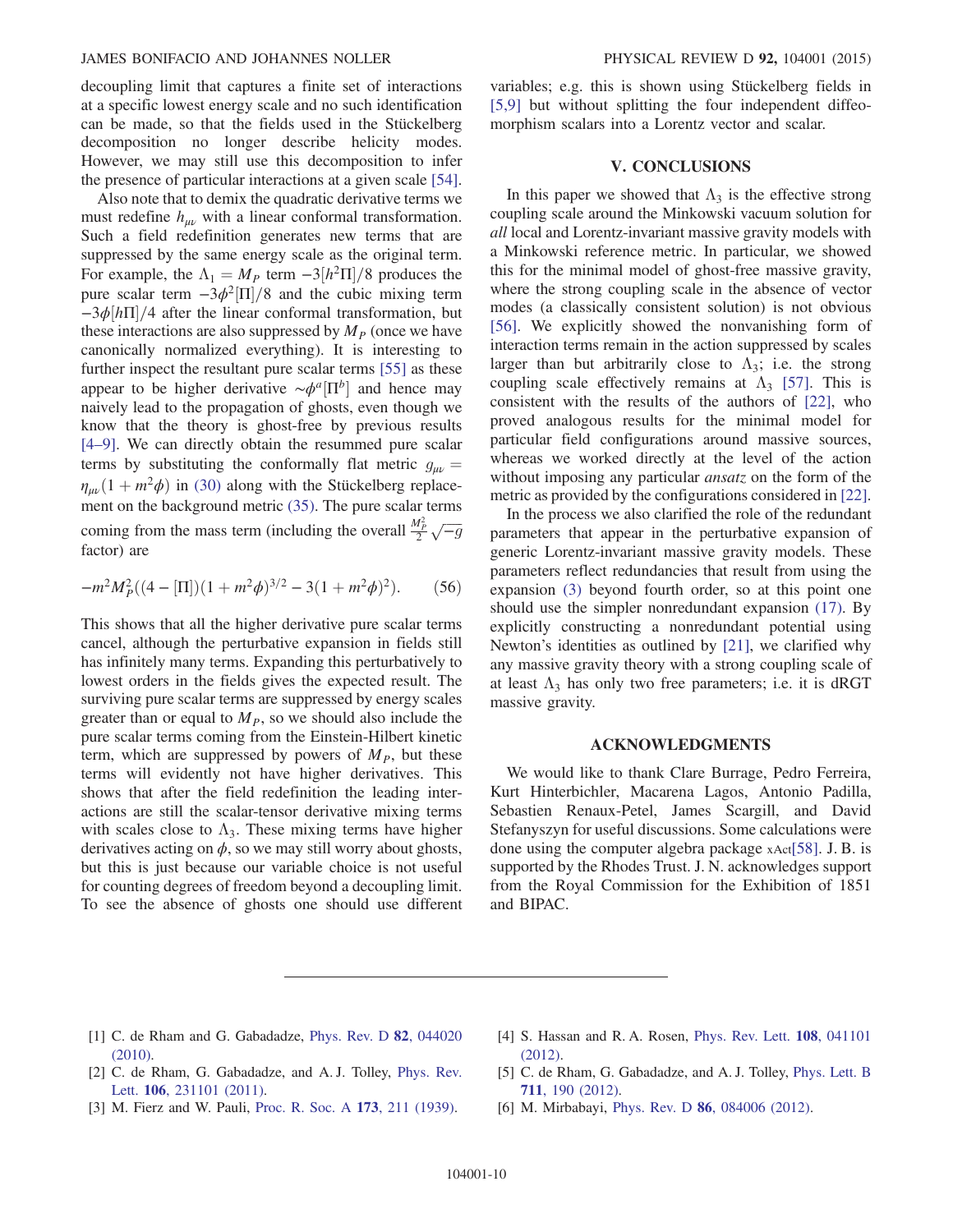decoupling limit that captures a finite set of interactions at a specific lowest energy scale and no such identification can be made, so that the fields used in the Stückelberg decomposition no longer describe helicity modes. However, we may still use this decomposition to infer the presence of particular interactions at a given scale [\[54\]](#page-11-0).

Also note that to demix the quadratic derivative terms we must redefine  $h_{\mu\nu}$  with a linear conformal transformation. Such a field redefinition generates new terms that are suppressed by the same energy scale as the original term. For example, the  $\Lambda_1 = M_P$  term  $-3[h^2\Pi]/8$  produces the pure scalar term  $-3\phi^2$ [Π]/8 and the cubic mixing term  $-\frac{3\phi}{h\pi}/4$  after the linear conformal transformation, but these interactions are also suppressed by  $M<sub>P</sub>$  (once we have canonically normalized everything). It is interesting to further inspect the resultant pure scalar terms [\[55\]](#page-11-1) as these appear to be higher derivative  $\sim \phi^a \left[\Pi^b\right]$  and hence may naively lead to the propagation of ghosts, even though we know that the theory is ghost-free by previous results [\[4](#page-9-2)–9]. We can directly obtain the resummed pure scalar terms by substituting the conformally flat metric  $g_{\mu\nu} =$  $\eta_{\mu\nu}(1 + m^2\phi)$  in [\(30\)](#page-6-2) along with the Stückelberg replacement on the background metric [\(35\)](#page-7-6). The pure scalar terms coming from the mass term (including the overall  $\frac{M_p^2}{2}\sqrt{-g}$ factor) are

$$
-m^2 M_P^2((4-[\Pi])(1+m^2\phi)^{3/2}-3(1+m^2\phi)^2). \tag{56}
$$

This shows that all the higher derivative pure scalar terms cancel, although the perturbative expansion in fields still has infinitely many terms. Expanding this perturbatively to lowest orders in the fields gives the expected result. The surviving pure scalar terms are suppressed by energy scales greater than or equal to  $M<sub>P</sub>$ , so we should also include the pure scalar terms coming from the Einstein-Hilbert kinetic term, which are suppressed by powers of  $M<sub>P</sub>$ , but these terms will evidently not have higher derivatives. This shows that after the field redefinition the leading interactions are still the scalar-tensor derivative mixing terms with scales close to  $\Lambda_3$ . These mixing terms have higher derivatives acting on  $\phi$ , so we may still worry about ghosts, but this is just because our variable choice is not useful for counting degrees of freedom beyond a decoupling limit. To see the absence of ghosts one should use different variables; e.g. this is shown using Stückelberg fields in [\[5,9\]](#page-9-6) but without splitting the four independent diffeomorphism scalars into a Lorentz vector and scalar.

# V. CONCLUSIONS

<span id="page-9-4"></span>In this paper we showed that  $\Lambda_3$  is the effective strong coupling scale around the Minkowski vacuum solution for all local and Lorentz-invariant massive gravity models with a Minkowski reference metric. In particular, we showed this for the minimal model of ghost-free massive gravity, where the strong coupling scale in the absence of vector modes (a classically consistent solution) is not obvious [\[56\]](#page-11-2). We explicitly showed the nonvanishing form of interaction terms remain in the action suppressed by scales larger than but arbitrarily close to  $\Lambda_3$ ; i.e. the strong coupling scale effectively remains at  $\Lambda_3$  [\[57\]](#page-11-3). This is consistent with the results of the authors of [\[22\]](#page-10-5), who proved analogous results for the minimal model for particular field configurations around massive sources, whereas we worked directly at the level of the action without imposing any particular *ansatz* on the form of the metric as provided by the configurations considered in [\[22\]](#page-10-5).

In the process we also clarified the role of the redundant parameters that appear in the perturbative expansion of generic Lorentz-invariant massive gravity models. These parameters reflect redundancies that result from using the expansion [\(3\)](#page-1-1) beyond fourth order, so at this point one should use the simpler nonredundant expansion [\(17\)](#page-3-5). By explicitly constructing a nonredundant potential using Newton's identities as outlined by [\[21\],](#page-10-6) we clarified why any massive gravity theory with a strong coupling scale of at least  $\Lambda_3$  has only two free parameters; i.e. it is dRGT massive gravity.

# ACKNOWLEDGMENTS

We would like to thank Clare Burrage, Pedro Ferreira, Kurt Hinterbichler, Macarena Lagos, Antonio Padilla, Sebastien Renaux-Petel, James Scargill, and David Stefanyszyn for useful discussions. Some calculations were done using the computer algebra package xAct[\[58\].](#page-11-4) J. B. is supported by the Rhodes Trust. J. N. acknowledges support from the Royal Commission for the Exhibition of 1851 and BIPAC.

- <span id="page-9-0"></span>[1] C. de Rham and G. Gabadadze, [Phys. Rev. D](http://dx.doi.org/10.1103/PhysRevD.82.044020) 82, 044020 [\(2010\).](http://dx.doi.org/10.1103/PhysRevD.82.044020)
- <span id="page-9-3"></span>[2] C. de Rham, G. Gabadadze, and A. J. Tolley, [Phys. Rev.](http://dx.doi.org/10.1103/PhysRevLett.106.231101) Lett. 106[, 231101 \(2011\)](http://dx.doi.org/10.1103/PhysRevLett.106.231101).
- <span id="page-9-1"></span>[3] M. Fierz and W. Pauli, [Proc. R. Soc. A](http://dx.doi.org/10.1098/rspa.1939.0140) 173, 211 (1939).
- <span id="page-9-2"></span>[4] S. Hassan and R. A. Rosen, *[Phys. Rev. Lett.](http://dx.doi.org/10.1103/PhysRevLett.108.041101)* **108**, 041101 [\(2012\).](http://dx.doi.org/10.1103/PhysRevLett.108.041101)
- <span id="page-9-6"></span>[5] C. de Rham, G. Gabadadze, and A. J. Tolley, [Phys. Lett. B](http://dx.doi.org/10.1016/j.physletb.2012.03.081) 711[, 190 \(2012\)](http://dx.doi.org/10.1016/j.physletb.2012.03.081).
- <span id="page-9-5"></span>[6] M. Mirbabayi, Phys. Rev. D **86**[, 084006 \(2012\)](http://dx.doi.org/10.1103/PhysRevD.86.084006).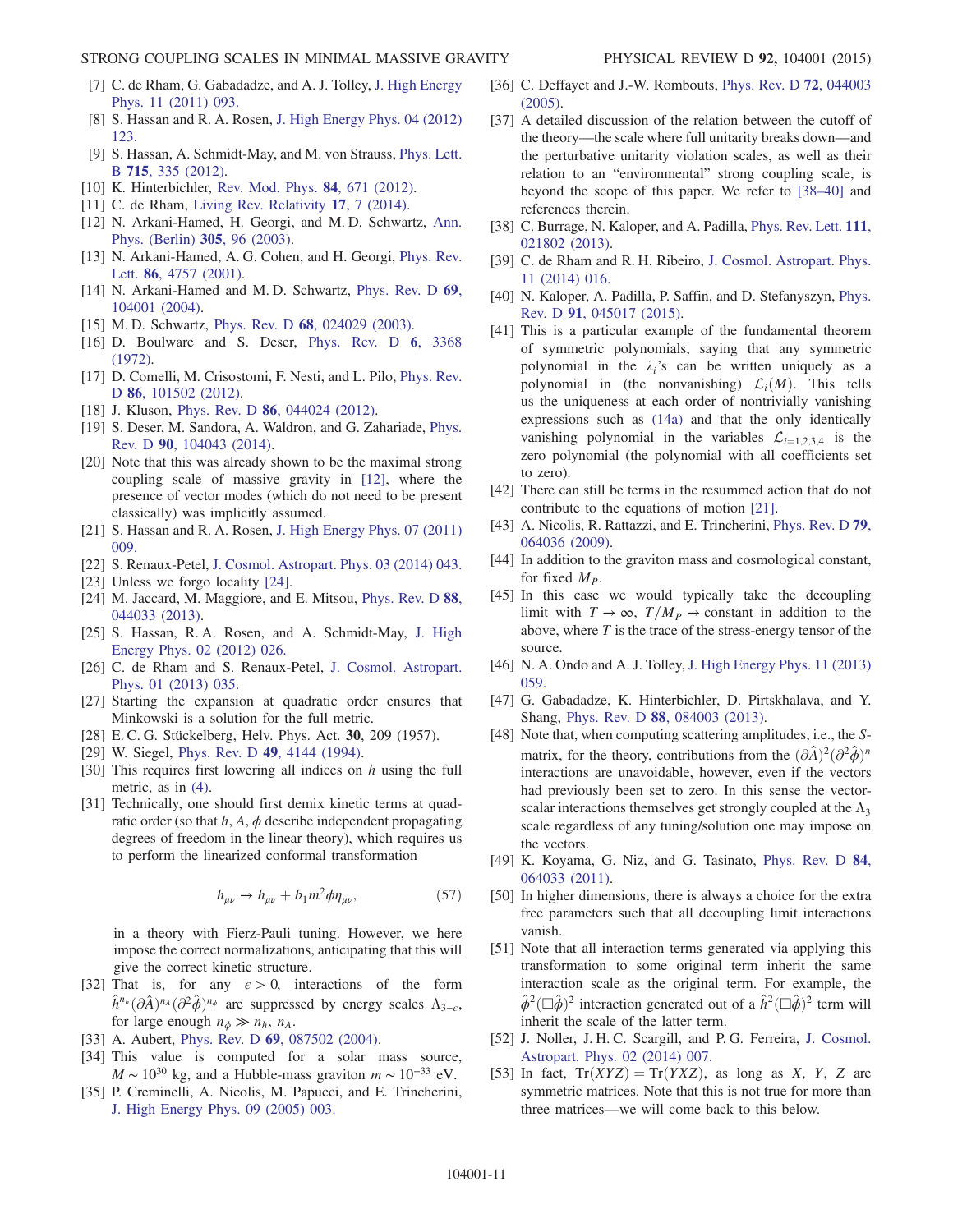- [7] C. de Rham, G. Gabadadze, and A. J. Tolley, [J. High Energy](http://dx.doi.org/10.1007/JHEP11(2011)093) [Phys. 11 \(2011\) 093.](http://dx.doi.org/10.1007/JHEP11(2011)093)
- [8] S. Hassan and R. A. Rosen, [J. High Energy Phys. 04 \(2012\)](http://dx.doi.org/10.1007/JHEP04(2012)123) [123.](http://dx.doi.org/10.1007/JHEP04(2012)123)
- [9] S. Hassan, A. Schmidt-May, and M. von Strauss, [Phys. Lett.](http://dx.doi.org/10.1016/j.physletb.2012.07.018) B 715[, 335 \(2012\)](http://dx.doi.org/10.1016/j.physletb.2012.07.018).
- <span id="page-10-0"></span>[10] K. Hinterbichler, [Rev. Mod. Phys.](http://dx.doi.org/10.1103/RevModPhys.84.671) **84**, 671 (2012).
- [11] C. de Rham, [Living Rev. Relativity](http://dx.doi.org/10.12942/lrr-2014-7) 17, 7 (2014).
- <span id="page-10-1"></span>[12] N. Arkani-Hamed, H. Georgi, and M. D. Schwartz, [Ann.](http://dx.doi.org/10.1016/S0003-4916(03)00068-X) [Phys. \(Berlin\)](http://dx.doi.org/10.1016/S0003-4916(03)00068-X) 305, 96 (2003).
- <span id="page-10-2"></span>[13] N. Arkani-Hamed, A. G. Cohen, and H. Georgi, [Phys. Rev.](http://dx.doi.org/10.1103/PhysRevLett.86.4757) Lett. 86[, 4757 \(2001\)](http://dx.doi.org/10.1103/PhysRevLett.86.4757).
- [14] N. Arkani-Hamed and M.D. Schwartz, [Phys. Rev. D](http://dx.doi.org/10.1103/PhysRevD.69.104001) 69, [104001 \(2004\).](http://dx.doi.org/10.1103/PhysRevD.69.104001)
- <span id="page-10-13"></span>[15] M.D. Schwartz, Phys. Rev. D 68[, 024029 \(2003\)](http://dx.doi.org/10.1103/PhysRevD.68.024029).
- <span id="page-10-3"></span>[16] D. Boulware and S. Deser, [Phys. Rev. D](http://dx.doi.org/10.1103/PhysRevD.6.3368) 6, 3368 [\(1972\).](http://dx.doi.org/10.1103/PhysRevD.6.3368)
- <span id="page-10-4"></span>[17] D. Comelli, M. Crisostomi, F. Nesti, and L. Pilo, [Phys. Rev.](http://dx.doi.org/10.1103/PhysRevD.86.101502) D 86[, 101502 \(2012\)](http://dx.doi.org/10.1103/PhysRevD.86.101502).
- [18] J. Kluson, Phys. Rev. D **86**[, 044024 \(2012\).](http://dx.doi.org/10.1103/PhysRevD.86.044024)
- [19] S. Deser, M. Sandora, A. Waldron, and G. Zahariade, [Phys.](http://dx.doi.org/10.1103/PhysRevD.90.104043) Rev. D 90[, 104043 \(2014\)](http://dx.doi.org/10.1103/PhysRevD.90.104043).
- [20] Note that this was already shown to be the maximal strong coupling scale of massive gravity in [\[12\],](#page-10-1) where the presence of vector modes (which do not need to be present classically) was implicitly assumed.
- <span id="page-10-6"></span>[21] S. Hassan and R. A. Rosen, [J. High Energy Phys. 07 \(2011\)](http://dx.doi.org/10.1007/JHEP07(2011)009) [009.](http://dx.doi.org/10.1007/JHEP07(2011)009)
- <span id="page-10-5"></span>[22] S. Renaux-Petel, [J. Cosmol. Astropart. Phys. 03 \(2014\) 043.](http://dx.doi.org/10.1088/1475-7516/2014/03/043)
- <span id="page-10-7"></span>[23] Unless we forgo locality [\[24\].](#page-10-29)
- <span id="page-10-29"></span>[24] M. Jaccard, M. Maggiore, and E. Mitsou, [Phys. Rev. D](http://dx.doi.org/10.1103/PhysRevD.88.044033) 88, [044033 \(2013\).](http://dx.doi.org/10.1103/PhysRevD.88.044033)
- <span id="page-10-8"></span>[25] S. Hassan, R. A. Rosen, and A. Schmidt-May, [J. High](http://dx.doi.org/10.1007/JHEP02(2012)026) [Energy Phys. 02 \(2012\) 026.](http://dx.doi.org/10.1007/JHEP02(2012)026)
- <span id="page-10-9"></span>[26] C. de Rham and S. Renaux-Petel, [J. Cosmol. Astropart.](http://dx.doi.org/10.1088/1475-7516/2013/01/035) [Phys. 01 \(2013\) 035.](http://dx.doi.org/10.1088/1475-7516/2013/01/035)
- <span id="page-10-10"></span>[27] Starting the expansion at quadratic order ensures that Minkowski is a solution for the full metric.
- [28] E. C. G. Stückelberg, Helv. Phys. Act. 30, 209 (1957).
- [29] W. Siegel, Phys. Rev. D **49**[, 4144 \(1994\).](http://dx.doi.org/10.1103/PhysRevD.49.4144)
- <span id="page-10-11"></span>[30] This requires first lowering all indices on  $h$  using the full metric, as in [\(4\)](#page-1-4).
- <span id="page-10-12"></span>[31] Technically, one should first demix kinetic terms at quadratic order (so that  $h, A, \phi$  describe independent propagating degrees of freedom in the linear theory), which requires us to perform the linearized conformal transformation

$$
h_{\mu\nu} \to h_{\mu\nu} + b_1 m^2 \phi \eta_{\mu\nu},\tag{57}
$$

in a theory with Fierz-Pauli tuning. However, we here impose the correct normalizations, anticipating that this will give the correct kinetic structure.

- <span id="page-10-14"></span>[32] That is, for any  $\epsilon > 0$ , interactions of the form  $\hat{h}^{n_h}(\partial \hat{A})^{n_A}(\partial^2 \hat{\phi})^{n_\phi}$  are suppressed by energy scales  $\Lambda_{3-\epsilon}$ , for large enough  $n_{\phi} \gg n_h$ ,  $n_A$ .
- <span id="page-10-15"></span>[33] A. Aubert, Phys. Rev. D 69[, 087502 \(2004\).](http://dx.doi.org/10.1103/PhysRevD.69.087502)
- [34] This value is computed for a solar mass source,  $M \sim 10^{30}$  kg, and a Hubble-mass graviton  $m \sim 10^{-33}$  eV.
- <span id="page-10-16"></span>[35] P. Creminelli, A. Nicolis, M. Papucci, and E. Trincherini, [J. High Energy Phys. 09 \(2005\) 003.](http://dx.doi.org/10.1088/1126-6708/2005/09/003)
- [36] C. Deffayet and J.-W. Rombouts, [Phys. Rev. D](http://dx.doi.org/10.1103/PhysRevD.72.044003) **72**, 044003 [\(2005\).](http://dx.doi.org/10.1103/PhysRevD.72.044003)
- <span id="page-10-17"></span>[37] A detailed discussion of the relation between the cutoff of the theory—the scale where full unitarity breaks down—and the perturbative unitarity violation scales, as well as their relation to an "environmental" strong coupling scale, is beyond the scope of this paper. We refer to [\[38](#page-10-30)–40] and references therein.
- <span id="page-10-30"></span>[38] C. Burrage, N. Kaloper, and A. Padilla, *[Phys. Rev. Lett.](http://dx.doi.org/10.1103/PhysRevLett.111.021802)* **111**, [021802 \(2013\).](http://dx.doi.org/10.1103/PhysRevLett.111.021802)
- [39] C. de Rham and R. H. Ribeiro, [J. Cosmol. Astropart. Phys.](http://dx.doi.org/10.1088/1475-7516/2014/11/016) [11 \(2014\) 016.](http://dx.doi.org/10.1088/1475-7516/2014/11/016)
- [40] N. Kaloper, A. Padilla, P. Saffin, and D. Stefanyszyn, [Phys.](http://dx.doi.org/10.1103/PhysRevD.91.045017) Rev. D 91[, 045017 \(2015\)](http://dx.doi.org/10.1103/PhysRevD.91.045017).
- <span id="page-10-18"></span>[41] This is a particular example of the fundamental theorem of symmetric polynomials, saying that any symmetric polynomial in the  $\lambda_i$ 's can be written uniquely as a polynomial in (the nonvanishing)  $\mathcal{L}_i(M)$ . This tells us the uniqueness at each order of nontrivially vanishing expressions such as [\(14a\)](#page-3-2) and that the only identically vanishing polynomial in the variables  $\mathcal{L}_{i=1,2,3,4}$  is the zero polynomial (the polynomial with all coefficients set to zero).
- <span id="page-10-19"></span>[42] There can still be terms in the resummed action that do not contribute to the equations of motion [\[21\].](#page-10-6)
- <span id="page-10-20"></span>[43] A. Nicolis, R. Rattazzi, and E. Trincherini, [Phys. Rev. D](http://dx.doi.org/10.1103/PhysRevD.79.064036) **79**, [064036 \(2009\).](http://dx.doi.org/10.1103/PhysRevD.79.064036)
- <span id="page-10-21"></span>[44] In addition to the graviton mass and cosmological constant, for fixed  $M_p$ .
- [45] In this case we would typically take the decoupling limit with  $T \to \infty$ ,  $T/M_P \to \text{constant}$  in addition to the above, where  $T$  is the trace of the stress-energy tensor of the source.
- <span id="page-10-23"></span><span id="page-10-22"></span>[46] N. A. Ondo and A. J. Tolley, [J. High Energy Phys. 11 \(2013\)](http://dx.doi.org/10.1007/JHEP11(2013)059) [059.](http://dx.doi.org/10.1007/JHEP11(2013)059)
- <span id="page-10-24"></span>[47] G. Gabadadze, K. Hinterbichler, D. Pirtskhalava, and Y. Shang, Phys. Rev. D 88[, 084003 \(2013\).](http://dx.doi.org/10.1103/PhysRevD.88.084003)
- [48] Note that, when computing scattering amplitudes, i.e., the Smatrix, for the theory, contributions from the  $\left(\partial \hat{A}\right)^2\left(\partial^2 \hat{\phi}\right)^n$ interactions are unavoidable, however, even if the vectors had previously been set to zero. In this sense the vectorscalar interactions themselves get strongly coupled at the  $\Lambda_3$ scale regardless of any tuning/solution one may impose on the vectors.
- <span id="page-10-26"></span><span id="page-10-25"></span>[49] K. Koyama, G. Niz, and G. Tasinato, [Phys. Rev. D](http://dx.doi.org/10.1103/PhysRevD.84.064033) 84, [064033 \(2011\).](http://dx.doi.org/10.1103/PhysRevD.84.064033)
- <span id="page-10-27"></span>[50] In higher dimensions, there is always a choice for the extra free parameters such that all decoupling limit interactions vanish.
- [51] Note that all interaction terms generated via applying this transformation to some original term inherit the same interaction scale as the original term. For example, the  $\hat{\phi}^2$ ( $\Box \hat{\phi}$ )<sup>2</sup> interaction generated out of a  $\hat{h}^2$ ( $\Box \hat{\phi}$ )<sup>2</sup> term will inherit the scale of the latter term inherit the scale of the latter term.
- <span id="page-10-28"></span>[52] J. Noller, J. H. C. Scargill, and P. G. Ferreira, [J. Cosmol.](http://dx.doi.org/10.1088/1475-7516/2014/02/007) [Astropart. Phys. 02 \(2014\) 007.](http://dx.doi.org/10.1088/1475-7516/2014/02/007)
- [53] In fact,  $Tr(XYZ) = Tr(YXZ)$ , as long as X, Y, Z are symmetric matrices. Note that this is not true for more than three matrices—we will come back to this below.